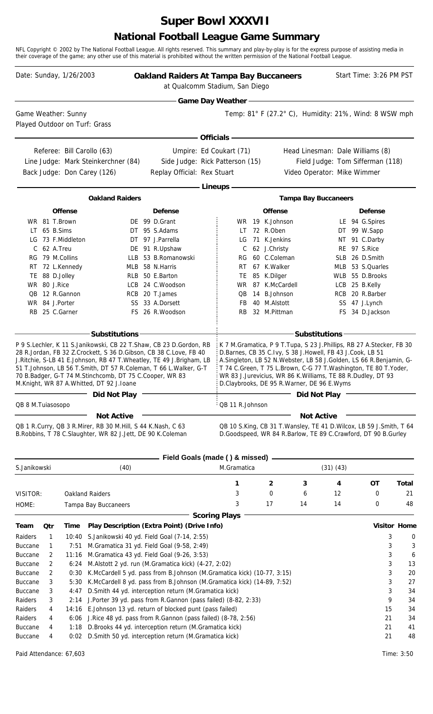# **Super Bowl XXXVII**

#### **National Football League Game Summary**

NFL Copyright © 2002 by The National Football League. All rights reserved. This summary and play-by-play is for the express purpose of assisting media in their coverage of the game; any other use of this material is prohibited without the written permission of the National Football League.

|                                  |                | Date: Sunday, 1/26/2003                              |                                                                                                                                                                                                                                                                                                                                                                                                                                   | <b>Oakland Raiders At Tampa Bay Buccaneers</b><br>at Qualcomm Stadium, San Diego |                          |                                                                                                                                                                                                                                                                                                                                                                                         |                                             |               | Start Time: 3:26 PM PST                                              |          |                     |
|----------------------------------|----------------|------------------------------------------------------|-----------------------------------------------------------------------------------------------------------------------------------------------------------------------------------------------------------------------------------------------------------------------------------------------------------------------------------------------------------------------------------------------------------------------------------|----------------------------------------------------------------------------------|--------------------------|-----------------------------------------------------------------------------------------------------------------------------------------------------------------------------------------------------------------------------------------------------------------------------------------------------------------------------------------------------------------------------------------|---------------------------------------------|---------------|----------------------------------------------------------------------|----------|---------------------|
|                                  |                |                                                      |                                                                                                                                                                                                                                                                                                                                                                                                                                   |                                                                                  | <b>Game Day Weather-</b> |                                                                                                                                                                                                                                                                                                                                                                                         |                                             |               |                                                                      |          |                     |
|                                  |                | Game Weather: Sunny<br>Played Outdoor on Turf: Grass |                                                                                                                                                                                                                                                                                                                                                                                                                                   |                                                                                  |                          | Temp: $81^\circ$ F (27.2 $^\circ$ C), Humidity: 21%, Wind: 8 WSW mph                                                                                                                                                                                                                                                                                                                    |                                             |               |                                                                      |          |                     |
|                                  |                |                                                      |                                                                                                                                                                                                                                                                                                                                                                                                                                   |                                                                                  | <b>Officials -</b>       |                                                                                                                                                                                                                                                                                                                                                                                         |                                             |               |                                                                      |          |                     |
|                                  |                |                                                      | Referee: Bill Carollo (63)<br>Line Judge: Mark Steinkerchner (84)                                                                                                                                                                                                                                                                                                                                                                 | Side Judge: Rick Patterson (15)                                                  | Umpire: Ed Coukart (71)  |                                                                                                                                                                                                                                                                                                                                                                                         |                                             |               | Head Linesman: Dale Williams (8)<br>Field Judge: Tom Sifferman (118) |          |                     |
|                                  |                |                                                      | Back Judge: Don Carey (126)                                                                                                                                                                                                                                                                                                                                                                                                       | Replay Official: Rex Stuart                                                      |                          |                                                                                                                                                                                                                                                                                                                                                                                         |                                             |               | Video Operator: Mike Wimmer                                          |          |                     |
|                                  |                |                                                      |                                                                                                                                                                                                                                                                                                                                                                                                                                   |                                                                                  | - Lineups -              |                                                                                                                                                                                                                                                                                                                                                                                         |                                             |               |                                                                      |          |                     |
|                                  |                |                                                      | <b>Oakland Raiders</b>                                                                                                                                                                                                                                                                                                                                                                                                            |                                                                                  |                          |                                                                                                                                                                                                                                                                                                                                                                                         | <b>Tampa Bay Buccaneers</b>                 |               |                                                                      |          |                     |
|                                  |                | <b>Offense</b>                                       |                                                                                                                                                                                                                                                                                                                                                                                                                                   | <b>Defense</b>                                                                   |                          | <b>Offense</b>                                                                                                                                                                                                                                                                                                                                                                          |                                             |               | <b>Defense</b>                                                       |          |                     |
|                                  | WR 81 T.Brown  |                                                      |                                                                                                                                                                                                                                                                                                                                                                                                                                   | DE 99 D.Grant                                                                    | WR.                      | 19 K.Johnson                                                                                                                                                                                                                                                                                                                                                                            |                                             |               | LE 94 G.Spires                                                       |          |                     |
|                                  | LT 65 B.Sims   |                                                      |                                                                                                                                                                                                                                                                                                                                                                                                                                   | DT 95 S.Adams                                                                    | LT.                      | 72 R.Oben                                                                                                                                                                                                                                                                                                                                                                               |                                             |               | DT 99 W.Sapp                                                         |          |                     |
|                                  |                | LG 73 F.Middleton                                    |                                                                                                                                                                                                                                                                                                                                                                                                                                   | DT 97 J.Parrella                                                                 | LG                       | 71 K.Jenkins                                                                                                                                                                                                                                                                                                                                                                            |                                             |               | NT 91 C.Darby                                                        |          |                     |
| C                                | 62 A.Treu      |                                                      |                                                                                                                                                                                                                                                                                                                                                                                                                                   | DE 91 R.Upshaw                                                                   | C                        | 62 J.Christy                                                                                                                                                                                                                                                                                                                                                                            |                                             |               | RE 97 S.Rice                                                         |          |                     |
|                                  |                | RG 79 M.Collins                                      |                                                                                                                                                                                                                                                                                                                                                                                                                                   | LLB 53 B.Romanowski                                                              | RG                       | 60 C.Coleman                                                                                                                                                                                                                                                                                                                                                                            |                                             |               | SLB 26 D.Smith                                                       |          |                     |
|                                  |                | RT 72 L.Kennedy                                      |                                                                                                                                                                                                                                                                                                                                                                                                                                   | MLB 58 N.Harris                                                                  | RT.                      | 67 K. Walker                                                                                                                                                                                                                                                                                                                                                                            |                                             |               | MLB 53 S.Quarles                                                     |          |                     |
|                                  | TE 88 D.Jolley |                                                      |                                                                                                                                                                                                                                                                                                                                                                                                                                   | RLB 50 E.Barton                                                                  |                          | TE 85 K.Dilger                                                                                                                                                                                                                                                                                                                                                                          |                                             |               | WLB 55 D.Brooks                                                      |          |                     |
|                                  | WR 80 J.Rice   |                                                      |                                                                                                                                                                                                                                                                                                                                                                                                                                   | LCB 24 C.Woodson                                                                 |                          | WR 87 K.McCardell                                                                                                                                                                                                                                                                                                                                                                       |                                             |               | LCB 25 B.Kelly                                                       |          |                     |
| QB                               | WR 84 J.Porter | 12 R.Gannon                                          |                                                                                                                                                                                                                                                                                                                                                                                                                                   | RCB 20 T.James<br>SS 33 A.Dorsett                                                | QB<br>FB                 | 14 B.Johnson<br>40 M.Alstott                                                                                                                                                                                                                                                                                                                                                            |                                             | RCB           | 20 R.Barber<br>SS 47 J.Lynch                                         |          |                     |
|                                  |                | RB 25 C.Garner                                       |                                                                                                                                                                                                                                                                                                                                                                                                                                   | FS 26 R.Woodson                                                                  | RB                       | 32 M.Pittman                                                                                                                                                                                                                                                                                                                                                                            |                                             |               | FS 34 D.Jackson                                                      |          |                     |
|                                  |                |                                                      | <b>Substitutions</b><br>P 9 S.Lechler, K 11 S.Janikowski, CB 22 T.Shaw, CB 23 D.Gordon, RB<br>28 R.Jordan, FB 32 Z.Crockett, S 36 D.Gibson, CB 38 C.Love, FB 40<br>J.Ritchie, S-LB 41 E.Johnson, RB 47 T.Wheatley, TE 49 J.Brigham, LB<br>51 T.Johnson, LB 56 T.Smith, DT 57 R.Coleman, T 66 L.Walker, G-T<br>70 B.Badger, G-T 74 M.Stinchcomb, DT 75 C.Cooper, WR 83<br>M.Knight, WR 87 A.Whitted, DT 92 J.Ioane<br>Did Not Play |                                                                                  |                          | K 7 M.Gramatica, P 9 T.Tupa, S 23 J.Phillips, RB 27 A.Stecker, FB 30<br>D.Barnes, CB 35 C.Ivy, S 38 J.Howell, FB 43 J.Cook, LB 51<br>A.Singleton, LB 52 N.Webster, LB 58 J.Golden, LS 66 R.Benjamin, G-<br>T 74 C.Green, T 75 L.Brown, C-G 77 T.Washington, TE 80 T.Yoder,<br>WR 83 J.Jurevicius, WR 86 K.Williams, TE 88 R.Dudley, DT 93<br>D.Claybrooks, DE 95 R.Warner, DE 96 E.Wyms | <b>Substitutions</b><br><b>Did Not Play</b> |               |                                                                      |          |                     |
| QB 8 M.Tuiasosopo                |                |                                                      |                                                                                                                                                                                                                                                                                                                                                                                                                                   |                                                                                  | QB 11 R.Johnson          |                                                                                                                                                                                                                                                                                                                                                                                         |                                             |               |                                                                      |          |                     |
|                                  |                |                                                      | <b>Not Active</b><br>QB 1 R.Curry, QB 3 R.Mirer, RB 30 M.Hill, S 44 K.Nash, C 63<br>B. Robbins, T 78 C. Slaughter, WR 82 J. Jett, DE 90 K. Coleman                                                                                                                                                                                                                                                                                |                                                                                  |                          | QB 10 S.King, CB 31 T.Wansley, TE 41 D.Wilcox, LB 59 J.Smith, T 64<br>D.Goodspeed, WR 84 R.Barlow, TE 89 C.Crawford, DT 90 B.Gurley                                                                                                                                                                                                                                                     | <b>Not Active</b>                           |               |                                                                      |          |                     |
| S.Janikowski                     |                |                                                      | (40)                                                                                                                                                                                                                                                                                                                                                                                                                              | Field Goals (made () & missed)                                                   | M.Gramatica              |                                                                                                                                                                                                                                                                                                                                                                                         |                                             | $(31)$ $(43)$ |                                                                      |          |                     |
|                                  |                |                                                      |                                                                                                                                                                                                                                                                                                                                                                                                                                   |                                                                                  |                          |                                                                                                                                                                                                                                                                                                                                                                                         |                                             |               |                                                                      |          |                     |
|                                  |                |                                                      |                                                                                                                                                                                                                                                                                                                                                                                                                                   |                                                                                  | 1                        | 2                                                                                                                                                                                                                                                                                                                                                                                       | 3                                           | 4             | OT                                                                   |          | Total               |
| VISITOR:<br>HOME:                |                |                                                      | <b>Oakland Raiders</b><br>Tampa Bay Buccaneers                                                                                                                                                                                                                                                                                                                                                                                    |                                                                                  | 3<br>3                   | 0<br>17                                                                                                                                                                                                                                                                                                                                                                                 | 6<br>14                                     | 12<br>14      | 0<br>0                                                               |          | 21<br>48            |
|                                  |                |                                                      |                                                                                                                                                                                                                                                                                                                                                                                                                                   |                                                                                  | <b>Scoring Plays</b>     |                                                                                                                                                                                                                                                                                                                                                                                         |                                             |               |                                                                      |          |                     |
| Team                             | <b>Qtr</b>     | Time                                                 | Play Description (Extra Point) (Drive Info)                                                                                                                                                                                                                                                                                                                                                                                       |                                                                                  |                          |                                                                                                                                                                                                                                                                                                                                                                                         |                                             |               |                                                                      |          | <b>Visitor Home</b> |
| Raiders                          | 1              | 10:40                                                | S.Janikowski 40 yd. Field Goal (7-14, 2:55)                                                                                                                                                                                                                                                                                                                                                                                       |                                                                                  |                          |                                                                                                                                                                                                                                                                                                                                                                                         |                                             |               |                                                                      | 3        | 0                   |
| <b>Buccane</b>                   | 1              | 7:51                                                 | M.Gramatica 31 yd. Field Goal (9-58, 2:49)                                                                                                                                                                                                                                                                                                                                                                                        |                                                                                  |                          |                                                                                                                                                                                                                                                                                                                                                                                         |                                             |               |                                                                      | 3        | 3                   |
| Buccane                          | 2              | 11:16                                                | M.Gramatica 43 yd. Field Goal (9-26, 3:53)                                                                                                                                                                                                                                                                                                                                                                                        |                                                                                  |                          |                                                                                                                                                                                                                                                                                                                                                                                         |                                             |               |                                                                      | 3        | 6                   |
| Buccane                          | 2              | 6:24                                                 | M.Alstott 2 yd. run (M.Gramatica kick) (4-27, 2:02)                                                                                                                                                                                                                                                                                                                                                                               |                                                                                  |                          |                                                                                                                                                                                                                                                                                                                                                                                         |                                             |               |                                                                      | 3        | 13                  |
| <b>Buccane</b>                   | 2              | 0:30                                                 | K.McCardell 5 yd. pass from B.Johnson (M.Gramatica kick) (10-77, 3:15)                                                                                                                                                                                                                                                                                                                                                            |                                                                                  |                          |                                                                                                                                                                                                                                                                                                                                                                                         |                                             |               |                                                                      | 3        | 20                  |
| <b>Buccane</b>                   | 3              | 5:30                                                 | K.McCardell 8 yd. pass from B.Johnson (M.Gramatica kick) (14-89, 7:52)                                                                                                                                                                                                                                                                                                                                                            |                                                                                  |                          |                                                                                                                                                                                                                                                                                                                                                                                         |                                             |               |                                                                      | 3        | 27                  |
| <b>Buccane</b>                   | 3              | 4:47                                                 | D.Smith 44 yd. interception return (M.Gramatica kick)                                                                                                                                                                                                                                                                                                                                                                             |                                                                                  |                          |                                                                                                                                                                                                                                                                                                                                                                                         |                                             |               |                                                                      | 3        | 34                  |
| Raiders                          | 3              | 2:14                                                 | J.Porter 39 yd. pass from R.Gannon (pass failed) (8-82, 2:33)                                                                                                                                                                                                                                                                                                                                                                     |                                                                                  |                          |                                                                                                                                                                                                                                                                                                                                                                                         |                                             |               |                                                                      | 9        | 34                  |
| Raiders                          | 4              |                                                      | 14:16 E.Johnson 13 yd. return of blocked punt (pass failed)                                                                                                                                                                                                                                                                                                                                                                       |                                                                                  |                          |                                                                                                                                                                                                                                                                                                                                                                                         |                                             |               |                                                                      | 15       | 34                  |
| Raiders                          | 4              |                                                      | 6:06 J. Rice 48 yd. pass from R. Gannon (pass failed) (8-78, 2:56)                                                                                                                                                                                                                                                                                                                                                                |                                                                                  |                          |                                                                                                                                                                                                                                                                                                                                                                                         |                                             |               |                                                                      | 21       | 34                  |
| <b>Buccane</b><br><b>Buccane</b> | 4<br>4         | 1:18<br>0:02                                         | D.Brooks 44 yd. interception return (M.Gramatica kick)<br>D.Smith 50 yd. interception return (M.Gramatica kick)                                                                                                                                                                                                                                                                                                                   |                                                                                  |                          |                                                                                                                                                                                                                                                                                                                                                                                         |                                             |               |                                                                      | 21<br>21 | 41<br>48            |
|                                  |                |                                                      |                                                                                                                                                                                                                                                                                                                                                                                                                                   |                                                                                  |                          |                                                                                                                                                                                                                                                                                                                                                                                         |                                             |               |                                                                      |          |                     |

Paid Attendance: 67,603 Time: 3:50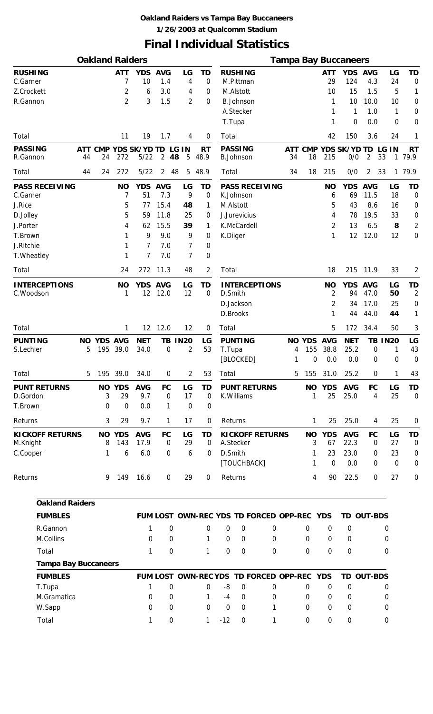#### **Oakland Raiders vs Tampa Bay Buccaneers 1/26/2003 at Qualcomm Stadium**

## **Final Individual Statistics**

|                                          |                |     | <b>Oakland Raiders</b> |                                      |                          |                               |                          |          |                                          |                                        |                     |                        |                                  | <b>Tampa Bay Buccaneers</b> |                                       |                       |                                            |
|------------------------------------------|----------------|-----|------------------------|--------------------------------------|--------------------------|-------------------------------|--------------------------|----------|------------------------------------------|----------------------------------------|---------------------|------------------------|----------------------------------|-----------------------------|---------------------------------------|-----------------------|--------------------------------------------|
| <b>RUSHING</b><br>C.Garner<br>Z.Crockett |                |     | <b>ATT</b><br>7<br>2   | <b>YDS</b><br>10<br>6                | <b>AVG</b><br>1.4<br>3.0 | LG<br>4<br>4                  | TD<br>$\mathbf 0$<br>0   |          | <b>RUSHING</b><br>M.Pittman<br>M.Alstott |                                        |                     |                        | <b>ATT</b><br>29<br>10           | <b>YDS</b><br>124<br>15     | <b>AVG</b><br>4.3<br>1.5              | LG<br>24<br>5         | <b>TD</b><br>0<br>1                        |
| R.Gannon                                 |                |     | 2                      | 3                                    | 1.5                      | 2                             | 0                        | T.Tupa   | <b>B.Johnson</b><br>A.Stecker            |                                        |                     |                        | 1<br>1<br>1                      | 10<br>1<br>0                | 10.0<br>1.0<br>0.0                    | 10<br>1<br>0          | $\mathbf 0$<br>$\mathbf 0$<br>$\mathbf 0$  |
| Total                                    |                |     | 11                     | 19                                   | 1.7                      | 4                             | $\mathbf 0$              | Total    |                                          |                                        |                     |                        | 42                               | 150                         | 3.6                                   | 24                    | 1                                          |
| <b>PASSING</b><br>R.Gannon               | 44             | 24  | 272                    | ATT CMP YDS SK/YD TD LG IN<br>$5/22$ | $\overline{2}$           | 48<br>5                       | <b>RT</b><br>48.9        |          | <b>PASSING</b><br><b>B.Johnson</b>       |                                        | ATT<br>34           | <b>CMP</b><br>18       | 215                              | <b>YDS SK/YD TD</b><br>0/0  | $\overline{a}$                        | LG IN<br>33           | <b>RT</b><br>1 79.9                        |
| Total                                    | 44             | 24  | 272                    | $5/22$                               | $\overline{2}$           | 48<br>5                       | 48.9                     | Total    |                                          |                                        | 34                  | 18                     | 215                              | 0/0                         | 2                                     | 33<br>1               | 79.9                                       |
| <b>PASS RECEIVING</b><br>C.Garner        |                |     | <b>NO</b><br>7         | <b>YDS</b><br>51                     | <b>AVG</b><br>7.3        | LG<br>9                       | TD<br>0                  |          | K.Johnson                                | <b>PASS RECEIVING</b>                  |                     |                        | <b>NO</b><br>6                   | <b>YDS</b><br>69            | <b>AVG</b><br>11.5                    | LG<br>18              | TD<br>0                                    |
| J.Rice                                   |                |     | 5                      | 77                                   | 15.4                     | 48                            | 1                        |          | M.Alstott                                |                                        |                     |                        | 5                                | 43                          | 8.6                                   | 16                    | $\boldsymbol{0}$                           |
| D.Jolley                                 |                |     | 5                      | 59                                   | 11.8                     | 25                            | 0                        |          | J.Jurevicius                             |                                        |                     |                        | 4                                | 78                          | 19.5                                  | 33                    | $\mathbf 0$                                |
| J.Porter                                 |                |     | 4                      | 62                                   | 15.5                     | 39                            | 1                        |          | K.McCardell                              |                                        |                     |                        | 2                                | 13                          | 6.5                                   | 8                     | $\overline{2}$                             |
| T.Brown<br>J.Ritchie                     |                |     |                        | 9<br>7                               | 9.0<br>7.0               | 9<br>7                        | 0                        | K.Dilger |                                          |                                        |                     |                        | 1                                | 12                          | 12.0                                  | 12                    | $\mathbf 0$                                |
| T. Wheatley                              |                |     | 1<br>1                 | 7                                    | 7.0                      | 7                             | 0<br>0                   |          |                                          |                                        |                     |                        |                                  |                             |                                       |                       |                                            |
| Total                                    |                |     | 24                     | 272                                  | 11.3                     | 48                            | 2                        | Total    |                                          |                                        |                     |                        | 18                               | 215                         | 11.9                                  | 33                    | $\overline{2}$                             |
| <b>INTERCEPTIONS</b><br>C.Woodson        |                |     | <b>NO</b><br>1         | YDS AVG<br>12                        | 12.0                     | LG<br>12                      | TD<br>0                  | D.Smith  | D.Jackson                                | <b>INTERCEPTIONS</b>                   |                     |                        | <b>NO</b><br>$\overline{2}$<br>2 | YDS AVG<br>94<br>34         | 47.0<br>17.0                          | LG<br>50<br>25        | <b>TD</b><br>$\overline{2}$<br>$\mathbf 0$ |
|                                          |                |     |                        |                                      |                          |                               |                          |          | D.Brooks                                 |                                        |                     |                        | 1                                | 44                          | 44.0                                  | 44                    | 1                                          |
| Total                                    |                |     | 1                      | 12                                   | 12.0                     | 12                            | 0                        | Total    |                                          |                                        |                     |                        | 5                                | 172                         | 34.4                                  | 50                    | 3                                          |
| <b>PUNTING</b><br>S.Lechler              | <b>NO</b><br>5 | 195 | YDS AVG<br>39.0        | <b>NET</b><br>34.0                   | TВ<br>0                  | <b>IN20</b><br>$\overline{2}$ | LG<br>53                 | T.Tupa   | <b>PUNTING</b><br>[BLOCKED]              |                                        | <b>NO</b><br>4<br>1 | <b>YDS</b><br>155<br>0 | <b>AVG</b><br>38.8<br>0.0        | <b>NET</b><br>25.2<br>0.0   | TB<br>$\mathbf 0$<br>$\boldsymbol{0}$ | <b>IN20</b><br>1<br>0 | LG<br>43<br>$\mathbf 0$                    |
| Total                                    | 5              | 195 | 39.0                   | 34.0                                 | 0                        | 2                             | 53                       | Total    |                                          |                                        | 5                   | 155                    | 31.0                             | 25.2                        | 0                                     | 1                     | 43                                         |
| <b>PUNT RETURNS</b><br>D.Gordon          |                | 3   | <b>NO YDS</b><br>29    | <b>AVG</b><br>9.7                    | <b>FC</b><br>0           | LG<br>17                      | <b>TD</b><br>0           |          | <b>PUNT RETURNS</b><br>K. Williams       |                                        |                     | <b>NO</b><br>1         | <b>YDS</b><br>25                 | <b>AVG</b><br>25.0          | <b>FC</b><br>4                        | LG<br>25              | <b>TD</b><br>$\mathbf 0$                   |
| T.Brown                                  |                | 0   | $\mathbf 0$            | 0.0                                  | $\mathbf{1}$             | $\mathbf 0$                   | 0                        |          |                                          |                                        |                     |                        |                                  |                             |                                       |                       |                                            |
| Returns                                  |                | 3   | 29                     | 9.7                                  | 1                        | 17                            | 0                        |          | Returns                                  |                                        |                     | 1                      | 25                               | 25.0                        | 4                                     | 25                    | $\mathbf 0$                                |
| <b>KICKOFF RETURNS</b><br>M.Knight       |                | 8   | <b>NO YDS</b><br>143   | <b>AVG</b><br>17.9                   | <b>FC</b><br>0           | LG<br>29                      | <b>TD</b><br>$\mathbf 0$ |          | A.Stecker                                | <b>KICKOFF RETURNS</b>                 |                     | <b>NO</b><br>3         | <b>YDS</b><br>67                 | <b>AVG</b><br>22.3          | <b>FC</b><br>0                        | LG<br>27              | <b>TD</b><br>$\mathbf 0$                   |
| C.Cooper                                 |                | 1   | 6                      | 6.0                                  | 0                        | 6                             | $\mathbf 0$              | D.Smith  |                                          |                                        |                     | 1                      | 23                               | 23.0                        | $\mathbf 0$                           | 23                    | $\mathbf 0$                                |
| Returns                                  |                | 9   | 149                    | 16.6                                 | $\mathbf 0$              | 29                            | 0                        | Returns  | [TOUCHBACK]                              |                                        |                     | 1<br>4                 | 0<br>90                          | 0.0<br>22.5                 | 0<br>$\mathbf 0$                      | $\mathbf 0$<br>27     | $\mathbf 0$<br>$\mathbf 0$                 |
| <b>Oakland Raiders</b>                   |                |     |                        |                                      |                          |                               |                          |          |                                          |                                        |                     |                        |                                  |                             |                                       |                       |                                            |
| <b>FUMBLES</b>                           |                |     |                        |                                      |                          |                               |                          |          |                                          | FUM LOST OWN-REC YDS TD FORCED OPP-REC |                     |                        | <b>YDS</b>                       | TD OUT-BDS                  |                                       |                       |                                            |
| R.Gannon                                 |                |     |                        | 1                                    | 0                        |                               | 0                        | 0        | $\mathbf 0$                              | 0                                      |                     | 0                      | $\mathbf 0$                      | 0                           |                                       | 0                     |                                            |
| M.Collins                                |                |     |                        | 0                                    | 0                        |                               | 1                        | $\Omega$ | $\Omega$                                 | 0                                      |                     | 0                      | $\mathbf 0$                      | 0                           |                                       | $\mathbf 0$           |                                            |
| Total                                    |                |     |                        | 1                                    | 0                        |                               | 1                        | 0        | $\mathbf 0$                              | 0                                      |                     | 0                      | 0                                | 0                           |                                       | 0                     |                                            |
| <b>Tampa Bay Buccaneers</b>              |                |     |                        |                                      |                          |                               |                          |          |                                          |                                        |                     |                        |                                  |                             |                                       |                       |                                            |
| <b>FUMBLES</b>                           |                |     |                        |                                      |                          |                               |                          |          |                                          | FUM LOST OWN-REC YDS TD FORCED OPP-REC |                     |                        | <b>YDS</b>                       | TD OUT-BDS                  |                                       |                       |                                            |
| T.Tupa                                   |                |     |                        | 1                                    | 0                        |                               | 0                        | -8       | 0                                        | 0                                      |                     | 0                      | $\mathbf 0$                      | $\mathbf 0$                 |                                       | 0                     |                                            |
| M.Gramatica                              |                |     |                        | 0                                    | 0                        |                               | 1                        | $-4$     | $\mathbf 0$                              | 0                                      |                     | 0                      | $\mathbf 0$                      | 0                           |                                       | 0                     |                                            |
| W.Sapp                                   |                |     |                        | 0                                    | 0                        |                               | $\Omega$                 | 0        | $\mathbf 0$                              | 1                                      |                     | 0                      | 0                                | 0                           |                                       | 0                     |                                            |
| Total                                    |                |     |                        | 1                                    | 0                        |                               | 1                        | $-12$    | 0                                        | 1                                      |                     | 0                      | $\boldsymbol{0}$                 | 0                           |                                       | 0                     |                                            |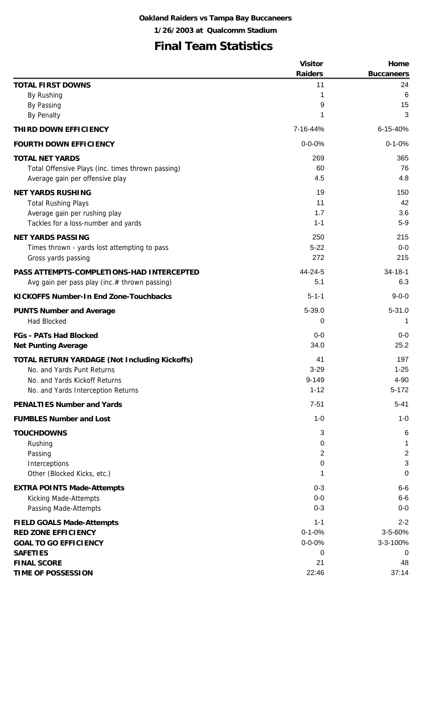## **Final Team Statistics**

|                                                      | <b>Visitor</b> | Home              |
|------------------------------------------------------|----------------|-------------------|
|                                                      | <b>Raiders</b> | <b>Buccaneers</b> |
| <b>TOTAL FIRST DOWNS</b>                             | 11             | 24                |
| By Rushing                                           | 1              | 6                 |
| By Passing                                           | 9              | 15                |
| <b>By Penalty</b>                                    | 1              | 3                 |
| THIRD DOWN EFFICIENCY                                | 7-16-44%       | 6-15-40%          |
| <b>FOURTH DOWN EFFICIENCY</b>                        | $0 - 0 - 0%$   | $0 - 1 - 0%$      |
| <b>TOTAL NET YARDS</b>                               | 269            | 365               |
| Total Offensive Plays (inc. times thrown passing)    | 60             | 76                |
| Average gain per offensive play                      | 4.5            | 4.8               |
| <b>NET YARDS RUSHING</b>                             | 19             | 150               |
| <b>Total Rushing Plays</b>                           | 11             | 42                |
| Average gain per rushing play                        | 1.7            | 3.6               |
| Tackles for a loss-number and yards                  | $1 - 1$        | $5-9$             |
| <b>NET YARDS PASSING</b>                             | 250            | 215               |
| Times thrown - yards lost attempting to pass         | $5 - 22$       | $0-0$             |
| Gross yards passing                                  | 272            | 215               |
| PASS ATTEMPTS-COMPLETIONS-HAD INTERCEPTED            | 44-24-5        | $34 - 18 - 1$     |
| Avg gain per pass play (inc.# thrown passing)        | 5.1            | 6.3               |
| <b>KICKOFFS Number-In End Zone-Touchbacks</b>        | $5 - 1 - 1$    | $9 - 0 - 0$       |
| <b>PUNTS Number and Average</b>                      | 5-39.0         | $5 - 31.0$        |
| <b>Had Blocked</b>                                   | 0              |                   |
| <b>FGs - PATs Had Blocked</b>                        | $0-0$          | $0-0$             |
| <b>Net Punting Average</b>                           | 34.0           | 25.2              |
| <b>TOTAL RETURN YARDAGE (Not Including Kickoffs)</b> | 41             | 197               |
| No. and Yards Punt Returns                           | $3 - 29$       | $1 - 25$          |
| No. and Yards Kickoff Returns                        | 9-149          | 4-90              |
| No. and Yards Interception Returns                   | $1 - 12$       | $5 - 172$         |
| <b>PENALTIES Number and Yards</b>                    | $7 - 51$       | $5 - 41$          |
| <b>FUMBLES Number and Lost</b>                       | $1 - 0$        | $1 - 0$           |
| <b>TOUCHDOWNS</b>                                    | 3              | $\,6$             |
| Rushing                                              | 0              | 1                 |
| Passing                                              | 2              | $\overline{2}$    |
| Interceptions                                        | 0              | 3                 |
| Other (Blocked Kicks, etc.)                          | 1              | $\mathbf 0$       |
| <b>EXTRA POINTS Made-Attempts</b>                    | $0 - 3$        | $6-6$             |
| Kicking Made-Attempts                                | $0-0$          | $6-6$             |
| Passing Made-Attempts                                | $0 - 3$        | $0-0$             |
| <b>FIELD GOALS Made-Attempts</b>                     | $1 - 1$        | $2 - 2$           |
| <b>RED ZONE EFFICIENCY</b>                           | $0 - 1 - 0%$   | 3-5-60%           |
| <b>GOAL TO GO EFFICIENCY</b>                         | $0 - 0 - 0%$   | 3-3-100%          |
| <b>SAFETIES</b>                                      | 0              | 0                 |
| <b>FINAL SCORE</b>                                   | 21             | 48                |
| <b>TIME OF POSSESSION</b>                            | 22:46          | 37:14             |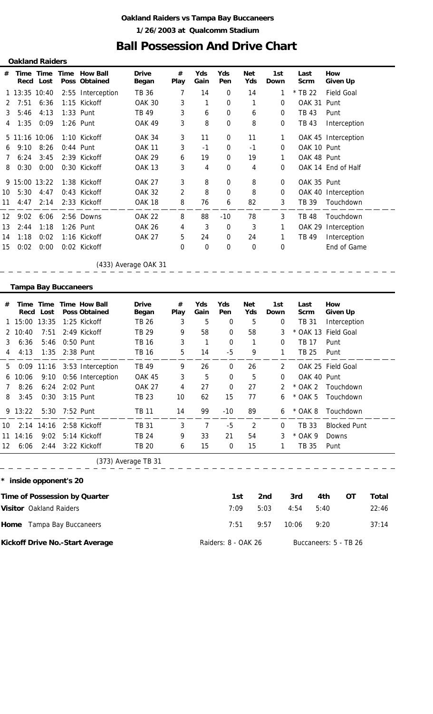#### **Oakland Raiders vs Tampa Bay Buccaneers 1/26/2003 at Qualcomm Stadium**

### **Ball Possession And Drive Chart**

| <b>Oakland Raiders</b> |                             |                   |                |                                              |                              |                        |                |                  |                   |                    |                     |                                  |
|------------------------|-----------------------------|-------------------|----------------|----------------------------------------------|------------------------------|------------------------|----------------|------------------|-------------------|--------------------|---------------------|----------------------------------|
| #                      |                             | Recd Lost         |                | Time Time Time How Ball<br>Poss Obtained     | <b>Drive</b><br><b>Began</b> | $^{\#}$<br><b>Play</b> | Yds<br>Gain    | Yds<br>Pen       | <b>Net</b><br>Yds | 1st<br><b>Down</b> | Last<br><b>Scrm</b> | How<br><b>Given Up</b>           |
|                        | 1 13:35 10:40               |                   |                | 2:55 Interception                            | <b>TB 36</b>                 | 7                      | 14             | 0                | 14                | 1                  | * TB 22             | <b>Field Goal</b>                |
| 2                      | 7:51                        | 6:36              | 1:15           | Kickoff                                      | <b>OAK 30</b>                | 3                      | 1              | 0                | 1                 | 0                  | <b>OAK 31</b>       | Punt                             |
| 3                      | 5:46                        | 4:13              |                | 1:33 Punt                                    | TB 49                        | 3                      | 6              | 0                | 6                 | $\mathbf 0$        | <b>TB 43</b>        | Punt                             |
| 4                      | 1:35                        | 0:09              |                | 1:26 Punt                                    | <b>OAK 49</b>                | 3                      | 8              | 0                | 8                 | 0                  | <b>TB 43</b>        | Interception                     |
|                        | 5 11:16 10:06               |                   |                | 1:10 Kickoff                                 | <b>OAK 34</b>                | 3                      | 11             | 0                | 11                | 1                  |                     | OAK 45 Interception              |
| 6                      | 9:10                        | 8:26              |                | 0:44 Punt                                    | <b>OAK 11</b>                | 3                      | $-1$           | 0                | $-1$              | 0                  | OAK 10 Punt         |                                  |
| 7                      | 6:24                        | 3:45              |                | 2:39 Kickoff                                 | <b>OAK 29</b>                | 6                      | 19             | 0                | 19                | 1                  | OAK 48 Punt         |                                  |
| 8                      | 0:30                        | 0:00              |                | 0:30 Kickoff                                 | <b>OAK 13</b>                | 3                      | 4              | 0                | 4                 | 0                  |                     | OAK 14 End of Half               |
|                        | 9 15:00 13:22               |                   |                | 1:38 Kickoff                                 | <b>OAK 27</b>                | 3                      | 8              | 0                | 8                 | 0                  | OAK 35 Punt         |                                  |
| 10                     | 5:30                        | 4:47              |                | 0:43 Kickoff                                 | <b>OAK 32</b>                | $\overline{2}$         | 8              | 0                | 8                 | 0                  |                     | OAK 40 Interception              |
| 11                     | 4:47                        | 2:14              |                | 2:33 Kickoff                                 | <b>OAK 18</b>                | 8                      | 76             | 6                | 82                | 3                  | TB 39               | Touchdown                        |
| 12                     | 9:02                        | 6:06              |                | 2:56 Downs                                   | <b>OAK 22</b>                | 8                      | 88             | $-10$            | 78                | 3                  | <b>TB 48</b>        | Touchdown                        |
| 13                     | 2:44                        | 1:18              |                | 1:26 Punt                                    | <b>OAK 26</b>                | 4                      | 3              | 0                | 3                 | 1                  |                     | OAK 29 Interception              |
| 14                     | 1:18                        | 0:02              |                | 1:16 Kickoff                                 | <b>OAK 27</b>                | 5                      | 24             | 0                | 24                | 1                  | <b>TB 49</b>        | Interception                     |
| 15                     | 0:02                        | 0:00              |                | 0:02 Kickoff                                 |                              | 0                      | 0              | 0                | 0                 | 0                  |                     | End of Game                      |
|                        |                             |                   |                |                                              | (433) Average OAK 31         |                        |                |                  |                   |                    |                     |                                  |
|                        | <b>Tampa Bay Buccaneers</b> |                   |                |                                              |                              |                        |                |                  |                   |                    |                     |                                  |
|                        |                             |                   |                |                                              |                              |                        |                |                  |                   |                    |                     |                                  |
| #                      | Time                        | Time<br>Recd Lost |                | <b>Time How Ball</b><br><b>Poss Obtained</b> | <b>Drive</b><br><b>Began</b> | #<br><b>Play</b>       | Yds<br>Gain    | Yds<br>Pen       | <b>Net</b><br>Yds | 1st<br><b>Down</b> | Last<br><b>Scrm</b> | How<br><b>Given Up</b>           |
| 1                      | 15:00                       | 13:35             |                | 1:25 Kickoff                                 | <b>TB 26</b>                 | 3                      | 5              | 0                | 5                 | 0                  | <b>TB 31</b>        | Interception                     |
| 2                      | 10:40                       | 7:51              |                | 2:49 Kickoff                                 | <b>TB 29</b>                 | 9                      | 58             | 0                | 58                | 3                  | * OAK 13            | <b>Field Goal</b>                |
| 3                      | 6:36                        | 5:46              |                | 0:50 Punt                                    | <b>TB 16</b>                 | 3                      | 1              | 0                | 1                 | 0                  | <b>TB 17</b>        | Punt                             |
| 4                      | 4:13                        | 1:35              |                | 2:38 Punt                                    | <b>TB 16</b>                 | 5                      | 14             | $-5$             | 9                 | 1                  | <b>TB 25</b>        | Punt                             |
| 5.                     |                             |                   |                | 0:09 11:16 3:53 Interception                 | <b>TB 49</b>                 | 9                      | 26             | $\boldsymbol{0}$ | 26                | $\overline{2}$     |                     | OAK 25 Field Goal                |
| 6                      | 10:06                       |                   |                | 9:10 0:56 Interception                       | OAK 45                       | 3                      | 5              | $\mathbf 0$      | 5                 | $\boldsymbol{0}$   | OAK 40 Punt         |                                  |
| 7                      | 8:26                        | 6:24              |                | 2:02 Punt                                    | <b>OAK 27</b>                | 4                      | 27             | 0                | 27                | 2                  | $*$ OAK 2           | Touchdown                        |
| 8                      | 3:45                        | 0:30              | 3:15 Punt      |                                              | <b>TB 23</b>                 | 10                     | 62             | 15               | 77                | 6                  | $*$ OAK 5           | Touchdown                        |
|                        | 9 13:22                     |                   | 5:30 7:52 Punt |                                              | <b>TB 11</b>                 | 14                     | 99             | $-10$            | 89                | 6                  | * OAK 8             | Touchdown                        |
| 10                     |                             |                   |                | 2:14 14:16 2:58 Kickoff                      | <b>TB 31</b>                 | 3                      | $\overline{7}$ | $-5$             | $\overline{2}$    | 0                  | <b>TB 33</b>        | <b>Blocked Punt</b>              |
|                        | 11 14:16                    | 9:02              |                | 5:14 Kickoff                                 | <b>TB 24</b>                 | 9                      | 33             | 21               | 54                | 3                  | * OAK 9             | Downs                            |
| 12                     | 6:06                        | 2:44              |                | 3:22 Kickoff                                 | <b>TB 20</b>                 | 6                      | 15             | $\pmb{0}$        | 15                | 1                  | <b>TB 35</b>        | Punt                             |
|                        |                             |                   |                |                                              | (373) Average TB 31          |                        |                |                  |                   |                    |                     |                                  |
|                        | * inside opponent's 20      |                   |                |                                              |                              |                        |                |                  |                   |                    |                     |                                  |
|                        |                             |                   |                | Time of Possession by Quarter                |                              |                        |                | 1st              |                   | 2nd                | 3rd                 | <b>OT</b><br>4th<br><b>Total</b> |
|                        | Visitor Oakland Raiders     |                   |                |                                              |                              |                        |                | 7:09             |                   | 5:03               | 4:54<br>5:40        | 22:46                            |

**Kickoff Drive No.-Start Average**

Raiders: 8 - OAK 26 Buccaneers: 5 - TB 26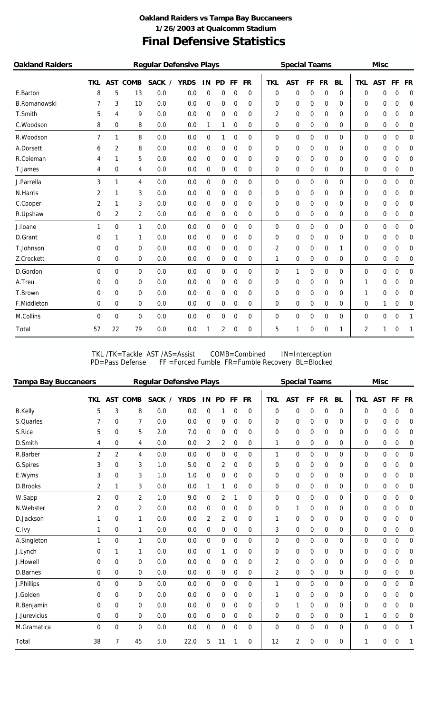#### **Final Defensive Statistics Oakland Raiders vs Tampa Bay Buccaneers 1/26/2003 at Qualcomm Stadium**

| <b>Oakland Raiders</b> |                |            |             | <b>Regular Defensive Plays</b> |             |             |           |             |           |            | <b>Special Teams</b> |    |           |           |                | <b>Misc</b> |    |                  |
|------------------------|----------------|------------|-------------|--------------------------------|-------------|-------------|-----------|-------------|-----------|------------|----------------------|----|-----------|-----------|----------------|-------------|----|------------------|
|                        | <b>TKL</b>     | <b>AST</b> | <b>COMB</b> | <b>SACK</b><br>$\prime$        | <b>YRDS</b> | 1N          | <b>PD</b> | FF          | <b>FR</b> | <b>TKL</b> | <b>AST</b>           | FF | <b>FR</b> | <b>BL</b> | <b>TKL</b>     | <b>AST</b>  | FF | <b>FR</b>        |
| E.Barton               | 8              | 5          | 13          | 0.0                            | 0.0         | 0           | 0         | 0           | 0         | 0          | 0                    | 0  | 0         | $\Omega$  | 0              | 0           | 0  | 0                |
| <b>B.Romanowski</b>    | 7              | 3          | 10          | 0.0                            | 0.0         | 0           | 0         | 0           | 0         | 0          | 0                    | 0  | 0         | 0         | 0              | 0           | 0  | 0                |
| T.Smith                | 5              | 4          | 9           | 0.0                            | 0.0         | 0           | 0         | 0           | 0         | 2          | 0                    | 0  | 0         | 0         | 0              | 0           | 0  | 0                |
| C.Woodson              | 8              | 0          | 8           | 0.0                            | 0.0         | 1           | 1         | 0           | 0         | 0          | 0                    | 0  | 0         | 0         | 0              | 0           | 0  | 0                |
| R.Woodson              | $\overline{7}$ | 1          | 8           | 0.0                            | 0.0         | 0           | 1         | 0           | 0         | 0          | 0                    | 0  | 0         | 0         | 0              | 0           | 0  | 0                |
| A.Dorsett              | 6              | 2          | 8           | 0.0                            | 0.0         | 0           | 0         | 0           | 0         | 0          | 0                    | 0  | 0         | 0         | 0              | 0           | 0  | 0                |
| R.Coleman              | 4              | 1          | 5           | 0.0                            | 0.0         | 0           | 0         | 0           | 0         | 0          | 0                    | 0  | 0         | 0         | 0              | 0           | 0  | 0                |
| T.James                | 4              | 0          | 4           | 0.0                            | 0.0         | 0           | 0         | 0           | 0         | 0          | 0                    | 0  | 0         | 0         | 0              | 0           | 0  | 0                |
| J.Parrella             | 3              | 1          | 4           | 0.0                            | 0.0         | 0           | 0         | 0           | 0         | 0          | 0                    | 0  | 0         | 0         | 0              | 0           | 0  | 0                |
| N.Harris               | 2              | 1          | 3           | 0.0                            | 0.0         | 0           | 0         | 0           | 0         | 0          | 0                    | 0  | 0         | 0         | 0              | 0           | 0  | 0                |
| C.Cooper               | 2              | 1          | 3           | 0.0                            | 0.0         | 0           | 0         | 0           | 0         | 0          | 0                    | 0  | 0         | 0         | 0              | 0           | 0  | 0                |
| R.Upshaw               | 0              | 2          | 2           | 0.0                            | 0.0         | 0           | 0         | 0           | 0         | 0          | 0                    | 0  | 0         | 0         | 0              | 0           | 0  | 0                |
| J.loane                | $\mathbf{1}$   | 0          | 1           | 0.0                            | 0.0         | 0           | 0         | 0           | 0         | 0          | 0                    | 0  | 0         | $\Omega$  | 0              | 0           | 0  | $\boldsymbol{0}$ |
| D.Grant                | 0              | 1          | 1           | 0.0                            | 0.0         | 0           | 0         | 0           | 0         | 0          | 0                    | 0  | 0         | 0         | 0              | 0           | 0  | 0                |
| T.Johnson              | 0              | 0          | 0           | 0.0                            | 0.0         | 0           | 0         | 0           | 0         | 2          | 0                    | 0  | 0         | 1         | 0              | 0           | 0  | 0                |
| Z.Crockett             | 0              | 0          | 0           | 0.0                            | 0.0         | 0           | 0         | 0           | 0         | 1          | 0                    | 0  | 0         | 0         | 0              | 0           | 0  | 0                |
| D.Gordon               | $\Omega$       | 0          | 0           | 0.0                            | 0.0         | $\mathbf 0$ | 0         | 0           | 0         | 0          | 1                    | 0  | 0         | 0         | 0              | 0           | 0  | 0                |
| A.Treu                 | 0              | 0          | 0           | 0.0                            | 0.0         | 0           | 0         | 0           | 0         | 0          | 0                    | 0  | 0         | 0         | 1              | 0           | 0  | 0                |
| T.Brown                | 0              | 0          | 0           | 0.0                            | 0.0         | 0           | 0         | 0           | 0         | 0          | 0                    | 0  | 0         | 0         | 1              | 0           | 0  | 0                |
| F.Middleton            | 0              | 0          | 0           | 0.0                            | 0.0         | 0           | 0         | 0           | 0         | 0          | 0                    | 0  | 0         | 0         | 0              | 1           | 0  | 0                |
| M.Collins              | $\Omega$       | 0          | 0           | 0.0                            | 0.0         | 0           | 0         | $\mathbf 0$ | 0         | 0          | 0                    | 0  | 0         | 0         | 0              | 0           | 0  | 1                |
| Total                  | 57             | 22         | 79          | 0.0                            | 0.0         | 1           | 2         | 0           | 0         | 5          | 1                    | 0  | 0         | 1         | $\overline{2}$ | 1           | 0  | 1                |

TKL /TK=Tackle AST /AS=Assist COMB=Combined IN=Interception PD=Pass Defense FF =Forced Fumble FR=Fumble Recovery BL=Blocked

| <b>Tampa Bay Buccaneers</b> |                |                |                 | <b>Regular Defensive Plays</b> |             |                |           |    |           |                | <b>Special Teams</b> |    |             |           |             | <b>Misc</b> |    |             |
|-----------------------------|----------------|----------------|-----------------|--------------------------------|-------------|----------------|-----------|----|-----------|----------------|----------------------|----|-------------|-----------|-------------|-------------|----|-------------|
|                             | TKL            |                | <b>AST COMB</b> | SACK /                         | <b>YRDS</b> | IN             | <b>PD</b> | FF | <b>FR</b> | <b>TKL</b>     | <b>AST</b>           | FF | <b>FR</b>   | <b>BL</b> | <b>TKL</b>  | <b>AST</b>  | FF | <b>FR</b>   |
| <b>B.Kelly</b>              | 5              | 3              | 8               | 0.0                            | 0.0         | 0              | 1         | 0  | 0         | 0              | 0                    | 0  | 0           | $\Omega$  | $\Omega$    | 0           | 0  | 0           |
| S.Quarles                   |                | 0              | 7               | 0.0                            | 0.0         | 0              | 0         | 0  | 0         | 0              | 0                    | 0  | 0           | 0         | 0           | 0           | 0  | 0           |
| S.Rice                      | 5              | 0              | 5               | 2.0                            | 7.0         | 0              | 0         | 0  | 0         | 0              | 0                    | 0  | 0           | 0         | 0           | 0           | 0  | 0           |
| D.Smith                     | 4              | 0              | 4               | 0.0                            | 0.0         | 2              | 2         | 0  | 0         | 1              | 0                    | 0  | 0           | 0         | 0           | 0           | 0  | 0           |
| R.Barber                    | $\overline{2}$ | $\overline{2}$ | 4               | 0.0                            | 0.0         | 0              | 0         | 0  | 0         | $\mathbf{1}$   | $\mathbf 0$          | 0  | 0           | $\Omega$  | $\mathbf 0$ | 0           | 0  | $\mathbf 0$ |
| G.Spires                    | 3              | 0              | 3               | 1.0                            | 5.0         | 0              | 2         | 0  | 0         | 0              | 0                    | 0  | 0           | 0         | 0           | 0           | 0  | 0           |
| E.Wyms                      | 3              | 0              | 3               | 1.0                            | 1.0         | 0              | 0         | 0  | 0         | 0              | 0                    | 0  | 0           | 0         | 0           | 0           | 0  | 0           |
| D.Brooks                    | 2              | 1              | 3               | 0.0                            | 0.0         | 1              | 1         | 0  | 0         | 0              | 0                    | 0  | 0           | 0         | 0           | 0           | 0  | 0           |
| W.Sapp                      | $\overline{2}$ | 0              | $\overline{2}$  | 1.0                            | 9.0         | 0              | 2         | 1  | 0         | 0              | $\Omega$             | 0  | 0           | $\Omega$  | 0           | 0           | 0  | $\mathbf 0$ |
| N.Webster                   | 2              | 0              | 2               | 0.0                            | 0.0         | 0              | 0         | 0  | 0         | 0              | 1                    | 0  | 0           | 0         | 0           | 0           | 0  | 0           |
| D.Jackson                   | 1              | 0              | 1               | 0.0                            | 0.0         | $\overline{2}$ | 2         | 0  | 0         | 1              | 0                    | 0  | 0           | 0         | 0           | 0           | 0  | 0           |
| C.Ivy                       | 1              | 0              | 1               | 0.0                            | 0.0         | 0              | 0         | 0  | 0         | 3              | $\mathbf 0$          | 0  | 0           | 0         | 0           | 0           | 0  | 0           |
| A.Singleton                 | 1              | 0              | $\mathbf{1}$    | 0.0                            | 0.0         | 0              | 0         | 0  | 0         | 0              | 0                    | 0  | 0           | $\Omega$  | $\mathbf 0$ | 0           | 0  | $\mathbf 0$ |
| J.Lynch                     | 0              | 1              | 1               | 0.0                            | 0.0         | 0              | 1         | 0  | 0         | 0              | 0                    | 0  | 0           | 0         | 0           | 0           | 0  | 0           |
| J.Howell                    | 0              | 0              | 0               | 0.0                            | 0.0         | 0              | 0         | 0  | 0         | $\overline{2}$ | 0                    | 0  | 0           | 0         | 0           | 0           | 0  | 0           |
| D.Barnes                    | 0              | 0              | 0               | 0.0                            | 0.0         | 0              | 0         | 0  | 0         | 2              | 0                    | 0  | 0           | 0         | 0           | 0           | 0  | 0           |
| J.Phillips                  | 0              | 0              | 0               | 0.0                            | 0.0         | 0              | 0         | 0  | 0         | $\mathbf{1}$   | 0                    | 0  | 0           | $\Omega$  | 0           | 0           | 0  | $\mathbf 0$ |
| J.Golden                    | 0              | 0              | 0               | 0.0                            | 0.0         | 0              | 0         | 0  | 0         | 1              | 0                    | 0  | 0           | 0         | 0           | 0           | 0  | 0           |
| R.Benjamin                  | 0              | 0              | 0               | 0.0                            | 0.0         | 0              | 0         | 0  | 0         | 0              | 1                    | 0  | 0           | 0         | 0           | 0           | 0  | 0           |
| J.Jurevicius                | 0              | 0              | 0               | 0.0                            | 0.0         | 0              | 0         | 0  | 0         | 0              | 0                    | 0  | 0           | 0         | 1           | 0           | 0  | 0           |
| M.Gramatica                 | $\Omega$       | 0              | $\Omega$        | 0.0                            | 0.0         | 0              | 0         | 0  | 0         | 0              | $\Omega$             | 0  | $\mathbf 0$ | $\Omega$  | $\mathbf 0$ | 0           | 0  | 1           |
| Total                       | 38             | $\overline{7}$ | 45              | 5.0                            | 22.0        | 5              | 11        | 1  | 0         | 12             | $\overline{2}$       | 0  | 0           | 0         | 1           | 0           | 0  | 1           |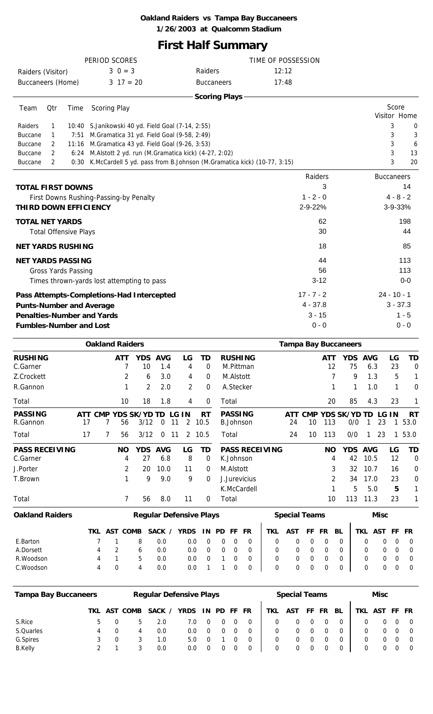# **First Half Summary**

|                                 |               |                              | PERIOD SCORES                                            |                                                                             | TIME OF POSSESSION |                   |         |
|---------------------------------|---------------|------------------------------|----------------------------------------------------------|-----------------------------------------------------------------------------|--------------------|-------------------|---------|
| Raiders (Visitor)               |               |                              | $3 \ 0 = 3$                                              | Raiders                                                                     | 12:12              |                   |         |
| Buccaneers (Home)               |               |                              | $3 \t17 = 20$                                            | <b>Buccaneers</b>                                                           | 17:48              |                   |         |
|                                 |               |                              |                                                          | <b>Scoring Plays</b>                                                        |                    |                   |         |
| Team                            | Qtr           | Time                         | <b>Scoring Play</b>                                      |                                                                             |                    | Score             |         |
|                                 |               |                              |                                                          |                                                                             |                    | Visitor Home      |         |
| Raiders                         | 1             |                              | 10:40 S.Janikowski 40 yd. Field Goal (7-14, 2:55)        |                                                                             |                    | 3                 | 0       |
| <b>Buccane</b>                  | 1             | 7:51                         | M.Gramatica 31 yd. Field Goal (9-58, 2:49)               |                                                                             |                    | 3                 | 3       |
| <b>Buccane</b>                  | $\mathcal{P}$ | 11:16                        | M.Gramatica 43 yd. Field Goal (9-26, 3:53)               |                                                                             |                    | 3                 | 6       |
| <b>Buccane</b>                  | 2             |                              | 6:24 M.Alstott 2 yd. run (M.Gramatica kick) (4-27, 2:02) |                                                                             |                    | 3                 | 13      |
| <b>Buccane</b>                  | 2             |                              |                                                          | 0:30 K.McCardell 5 yd. pass from B.Johnson (M.Gramatica kick) (10-77, 3:15) |                    | 3                 | 20      |
|                                 |               |                              |                                                          |                                                                             | Raiders            | <b>Buccaneers</b> |         |
| <b>TOTAL FIRST DOWNS</b>        |               |                              |                                                          |                                                                             | 3                  |                   | 14      |
|                                 |               |                              | First Downs Rushing-Passing-by Penalty                   |                                                                             | $1 - 2 - 0$        | $4 - 8 - 2$       |         |
| <b>THIRD DOWN EFFICIENCY</b>    |               |                              |                                                          |                                                                             | 2-9-22%            | 3-9-33%           |         |
| <b>TOTAL NET YARDS</b>          |               |                              |                                                          |                                                                             | 62                 |                   | 198     |
|                                 |               | <b>Total Offensive Plays</b> |                                                          |                                                                             | 30                 |                   | 44      |
| <b>NET YARDS RUSHING</b>        |               |                              |                                                          |                                                                             | 18                 |                   | 85      |
| <b>NET YARDS PASSING</b>        |               |                              |                                                          |                                                                             | 44                 |                   | 113     |
|                                 |               | <b>Gross Yards Passing</b>   |                                                          |                                                                             | 56                 |                   | 113     |
|                                 |               |                              | Times thrown-yards lost attempting to pass               |                                                                             | $3 - 12$           |                   | $0-0$   |
|                                 |               |                              | Pass Attempts-Completions-Had Intercepted                |                                                                             | $17 - 7 - 2$       | $24 - 10 - 1$     |         |
| <b>Punts-Number and Average</b> |               |                              |                                                          |                                                                             | $4 - 37.8$         | $3 - 37.3$        |         |
|                                 |               |                              | <b>Penalties-Number and Yards</b>                        |                                                                             | $3 - 15$           |                   | $1 - 5$ |
| <b>Fumbles-Number and Lost</b>  |               |                              |                                                          |                                                                             | $0 - 0$            |                   | $0 - 0$ |
|                                 |               |                              |                                                          |                                                                             |                    |                   |         |

|                                   |           |            | <b>Oakland Raiders</b> |                             |                   |         |                |                                |                                    |           |                      |                | <b>Tampa Bay Buccaneers</b> |                    |             |          |                   |
|-----------------------------------|-----------|------------|------------------------|-----------------------------|-------------------|---------|----------------|--------------------------------|------------------------------------|-----------|----------------------|----------------|-----------------------------|--------------------|-------------|----------|-------------------|
| <b>RUSHING</b><br>C.Garner        |           |            | ATT                    | YDS.<br>10                  | <b>AVG</b><br>1.4 |         | LG<br>4        | TD<br>0                        | <b>RUSHING</b><br>M.Pittman        |           |                      | ATT<br>12      | <b>YDS</b><br>75            | <b>AVG</b><br>6.3  |             | LG<br>23 | TD<br>0           |
| Z.Crockett                        |           |            | $\overline{2}$         | 6                           | 3.0               |         | 4              | $\mathbf 0$                    | M.Alstott                          |           |                      |                | 9                           | 1.3                |             | 5        |                   |
| R.Gannon                          |           |            |                        | 2                           | 2.0               |         | $\overline{2}$ | $\Omega$                       | A.Stecker                          |           |                      |                |                             | 1.0                |             | 1        | 0                 |
| Total                             |           |            | 10                     | 18                          | 1.8               |         | 4              | 0                              | Total                              |           |                      | 20             | 85                          | 4.3                |             | 23       | 1                 |
| <b>PASSING</b><br>R.Gannon        | ATT<br>17 | <b>CMP</b> | 56                     | <b>YDS SK/YD TD</b><br>3/12 | 0                 | G<br>11 | 1N<br>2        | RT<br>10.5                     | <b>PASSING</b><br>B.Johnson        | ATT<br>24 | <b>CMP</b><br>10     | 113            | <b>YDS SK/YD</b><br>0/0     | TD.                | LG IN<br>23 |          | <b>RT</b><br>53.0 |
| Total                             | 17        |            | 56                     | 3/12                        | 0                 | 11      | 2              | 10.5                           | Total                              | 24        | 10                   | 113            | 0/0                         |                    | 23          |          | 53.0              |
| <b>PASS RECEIVING</b><br>C.Garner |           |            | <b>NO</b><br>4         | <b>YDS</b><br>27            | <b>AVG</b><br>6.8 |         | LG<br>8        | TD<br>0                        | <b>PASS RECEIVING</b><br>K.Johnson |           |                      | <b>NO</b><br>4 | <b>YDS</b><br>42            | <b>AVG</b><br>10.5 |             | LG<br>12 | TD<br>0           |
| J.Porter                          |           |            | $\overline{2}$         | 20                          | 10.0              |         | 11             | $\Omega$                       | M.Alstott                          |           |                      | 3              | 32                          | 10.7               |             | 16       | 0                 |
| T.Brown                           |           |            |                        | 9                           | 9.0               |         | 9              | $\mathbf 0$                    | J.Jurevicius                       |           |                      | 2              | 34                          | 17.0               |             | 23       | $\mathbf 0$       |
|                                   |           |            |                        |                             |                   |         |                |                                | K.McCardell                        |           |                      |                | 5                           | 5.0                |             | 5        | 1                 |
| Total                             |           |            | $\overline{7}$         | 56                          | 8.0               |         | 11             | $\mathbf 0$                    | Total                              |           |                      | 10             | 113                         | 11.3               |             | 23       |                   |
| <b>Oakland Raiders</b>            |           |            |                        |                             |                   |         |                | <b>Regular Defensive Plays</b> |                                    |           | <b>Special Teams</b> |                |                             |                    | <b>Misc</b> |          |                   |

|           |     |   | TKL AST COMB SACK / YRDS IN PD FF FR   TKL AST FF FR BL   TKL AST FF FR |  |  |                                             |                                                                        |  |  |                                             |  |
|-----------|-----|---|-------------------------------------------------------------------------|--|--|---------------------------------------------|------------------------------------------------------------------------|--|--|---------------------------------------------|--|
| E.Barton  | 7 1 | 8 | 0.0                                                                     |  |  |                                             |                                                                        |  |  |                                             |  |
| A.Dorsett |     | 6 | 0.0                                                                     |  |  | $0.0$ 0 0 0 0 $\vert$                       | $\begin{array}{ccccccccccccccccc} 0 & 0 & 0 & 0 & 0 & 0 & \end{array}$ |  |  | $\begin{matrix} 0 & 0 & 0 & 0 \end{matrix}$ |  |
| R.Woodson |     | 5 | 0.0                                                                     |  |  | 0.0 0 1 0 0 1                               | $\begin{array}{ccccccccccccccccc} 0 & 0 & 0 & 0 & 0 & 0 & \end{array}$ |  |  | $\begin{matrix} 0 & 0 & 0 & 0 \end{matrix}$ |  |
| C.Woodson |     |   | 0.0                                                                     |  |  | $0.0 \quad 1 \quad 1 \quad 0 \quad 0 \quad$ | $\begin{array}{ccccccccccccccccc} 0 & 0 & 0 & 0 & 0 & 0 & \end{array}$ |  |  | $\begin{matrix} 0 & 0 & 0 & 0 \end{matrix}$ |  |

| <b>Tampa Bay Buccaneers</b> |     |     |      | <b>Regular Defensive Plays</b> |               |             |  |            | <b>Special Teams</b> |       |    |     | <b>Misc</b> |  |
|-----------------------------|-----|-----|------|--------------------------------|---------------|-------------|--|------------|----------------------|-------|----|-----|-------------|--|
|                             | TKL | AST | COMB | SACK                           | <b>YRDS</b>   | IN PD FF FR |  | <b>TKL</b> | AST                  | FF FR | BL | TKL | AST FF FR   |  |
| S.Rice                      |     |     |      | 2.0                            | 7.O           |             |  |            |                      |       |    |     |             |  |
| S.Quarles                   | 4   |     | 4    | 0.0                            | $0.0^{\circ}$ |             |  |            |                      |       |    |     |             |  |
| G.Spires                    |     |     |      | 1.0                            | 5.0           |             |  |            |                      |       |    |     |             |  |
| <b>B.Kelly</b>              |     |     |      | 0.0                            | 0.0           |             |  |            |                      |       |    |     |             |  |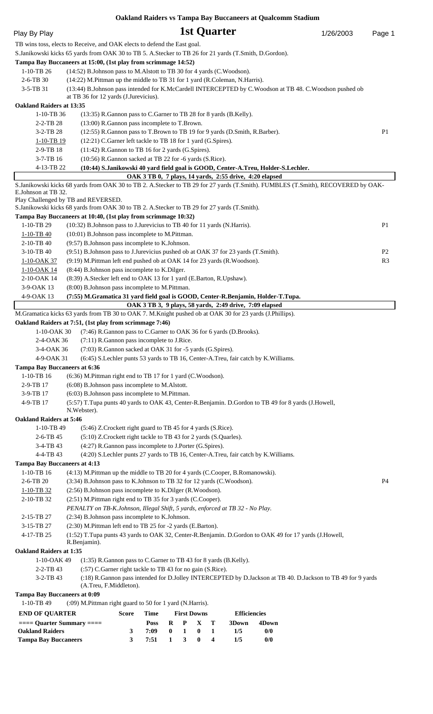|                                     | <b>Oakland Raiders vs Tampa Bay Buccaneers at Qualcomm Stadium</b>                                                                                                                          |           |                |
|-------------------------------------|---------------------------------------------------------------------------------------------------------------------------------------------------------------------------------------------|-----------|----------------|
| Play By Play                        | 1st Quarter                                                                                                                                                                                 | 1/26/2003 | Page 1         |
|                                     | TB wins toss, elects to Receive, and OAK elects to defend the East goal.                                                                                                                    |           |                |
|                                     | S.Janikowski kicks 65 yards from OAK 30 to TB 5. A.Stecker to TB 26 for 21 yards (T.Smith, D.Gordon).                                                                                       |           |                |
|                                     | Tampa Bay Buccaneers at 15:00, (1st play from scrimmage 14:52)                                                                                                                              |           |                |
| $1-10-TB$ 26                        | (14:52) B.Johnson pass to M.Alstott to TB 30 for 4 yards (C.Woodson).                                                                                                                       |           |                |
| $2-6$ -TB 30                        | (14:22) M.Pittman up the middle to TB 31 for 1 yard (R.Coleman, N.Harris).                                                                                                                  |           |                |
| 3-5-TB 31                           | (13:44) B.Johnson pass intended for K.McCardell INTERCEPTED by C.Woodson at TB 48. C.Woodson pushed ob                                                                                      |           |                |
| <b>Oakland Raiders at 13:35</b>     | at TB 36 for 12 yards (J.Jurevicius).                                                                                                                                                       |           |                |
| $1-10-TB$ 36                        | (13:35) R. Gannon pass to C. Garner to TB 28 for 8 yards (B. Kelly).                                                                                                                        |           |                |
| $2 - 2 - TB 28$                     | (13:00) R.Gannon pass incomplete to T.Brown.                                                                                                                                                |           |                |
| 3-2-TB 28                           | (12:55) R. Gannon pass to T. Brown to TB 19 for 9 yards (D. Smith, R. Barber).                                                                                                              |           | P1             |
| 1-10-TB 19                          | (12:21) C.Garner left tackle to TB 18 for 1 yard (G.Spires).                                                                                                                                |           |                |
| 2-9-TB 18                           | (11:42) R.Gannon to TB 16 for 2 yards (G.Spires).                                                                                                                                           |           |                |
| $3-7-TB$ 16                         | (10:56) R.Gannon sacked at TB 22 for -6 yards (S.Rice).                                                                                                                                     |           |                |
| 4-13-TB 22                          | (10:44) S.Janikowski 40 yard field goal is GOOD, Center-A.Treu, Holder-S.Lechler.                                                                                                           |           |                |
|                                     | OAK 3 TB 0, 7 plays, 14 yards, 2:55 drive, 4:20 elapsed<br>S.Janikowski kicks 68 yards from OAK 30 to TB 2. A.Stecker to TB 29 for 27 yards (T.Smith). FUMBLES (T.Smith), RECOVERED by OAK- |           |                |
| E.Johnson at TB 32.                 |                                                                                                                                                                                             |           |                |
|                                     | Play Challenged by TB and REVERSED.                                                                                                                                                         |           |                |
|                                     | S.Janikowski kicks 68 yards from OAK 30 to TB 2. A.Stecker to TB 29 for 27 yards (T.Smith).                                                                                                 |           |                |
|                                     | Tampa Bay Buccaneers at 10:40, (1st play from scrimmage 10:32)                                                                                                                              |           |                |
| 1-10-TB 29                          | (10:32) B.Johnson pass to J.Jurevicius to TB 40 for 11 yards (N.Harris).                                                                                                                    |           | P <sub>1</sub> |
| $1-10-TB$ 40<br>2-10-TB 40          | (10:01) B.Johnson pass incomplete to M.Pittman.<br>(9:57) B.Johnson pass incomplete to K.Johnson.                                                                                           |           |                |
| $3-10-TB$ 40                        | (9:51) B.Johnson pass to J.Jurevicius pushed ob at OAK 37 for 23 yards (T.Smith).                                                                                                           |           | P <sub>2</sub> |
| 1-10-OAK 37                         | (9:19) M.Pittman left end pushed ob at OAK 14 for 23 yards (R.Woodson).                                                                                                                     |           | R <sub>3</sub> |
| 1-10-OAK 14                         | (8:44) B.Johnson pass incomplete to K.Dilger.                                                                                                                                               |           |                |
| 2-10-OAK 14                         | (8:39) A.Stecker left end to OAK 13 for 1 yard (E.Barton, R.Upshaw).                                                                                                                        |           |                |
| 3-9-OAK 13                          | (8:00) B.Johnson pass incomplete to M.Pittman.                                                                                                                                              |           |                |
| 4-9-OAK 13                          | (7:55) M.Gramatica 31 yard field goal is GOOD, Center-R.Benjamin, Holder-T.Tupa.                                                                                                            |           |                |
|                                     | OAK 3 TB 3, 9 plays, 58 yards, 2:49 drive, 7:09 elapsed<br>M.Gramatica kicks 63 yards from TB 30 to OAK 7. M.Knight pushed ob at OAK 30 for 23 yards (J.Phillips).                          |           |                |
|                                     | Oakland Raiders at 7:51, (1st play from scrimmage 7:46)                                                                                                                                     |           |                |
|                                     | 1-10-OAK 30 (7:46) R.Gannon pass to C.Garner to OAK 36 for 6 yards (D.Brooks).                                                                                                              |           |                |
| 2-4-OAK 36                          | (7:11) R.Gannon pass incomplete to J.Rice.                                                                                                                                                  |           |                |
| 3-4-OAK 36                          | (7:03) R.Gannon sacked at OAK 31 for -5 yards (G.Spires).                                                                                                                                   |           |                |
| 4-9-OAK 31                          | (6:45) S.Lechler punts 53 yards to TB 16, Center-A.Treu, fair catch by K.Williams.                                                                                                          |           |                |
| <b>Tampa Bay Buccaneers at 6:36</b> |                                                                                                                                                                                             |           |                |
| 1-10-TB 16                          | (6:36) M.Pittman right end to TB 17 for 1 yard (C.Woodson).                                                                                                                                 |           |                |
| 2-9-TB 17                           | (6:08) B.Johnson pass incomplete to M.Alstott.                                                                                                                                              |           |                |
| 3-9-TB 17<br>4-9-TB 17              | (6:03) B.Johnson pass incomplete to M.Pittman.<br>(5:57) T.Tupa punts 40 yards to OAK 43, Center-R.Benjamin. D.Gordon to TB 49 for 8 yards (J.Howell,                                       |           |                |
|                                     | N.Webster).                                                                                                                                                                                 |           |                |
| <b>Oakland Raiders at 5:46</b>      |                                                                                                                                                                                             |           |                |
| 1-10-TB 49                          | (5:46) Z.Crockett right guard to TB 45 for 4 yards (S.Rice).                                                                                                                                |           |                |
| $2-6-TB$ 45                         | (5:10) Z.Crockett right tackle to TB 43 for 2 yards (S.Quarles).                                                                                                                            |           |                |
| 3-4-TB 43                           | (4:27) R.Gannon pass incomplete to J.Porter (G.Spires).                                                                                                                                     |           |                |
| 4-4-TB 43                           | (4:20) S.Lechler punts 27 yards to TB 16, Center-A.Treu, fair catch by K.Williams.                                                                                                          |           |                |
| <b>Tampa Bay Buccaneers at 4:13</b> |                                                                                                                                                                                             |           |                |
| $1-10-TB$ 16<br>2-6-TB 20           | (4:13) M.Pittman up the middle to TB 20 for 4 yards (C.Cooper, B.Romanowski).<br>(3:34) B.Johnson pass to K.Johnson to TB 32 for 12 yards (C.Woodson).                                      |           | <b>P4</b>      |
| $1-10-TB$ 32                        | (2:56) B.Johnson pass incomplete to K.Dilger (R.Woodson).                                                                                                                                   |           |                |
| 2-10-TB 32                          | (2:51) M.Pittman right end to TB 35 for 3 yards (C.Cooper).                                                                                                                                 |           |                |
|                                     | PENALTY on TB-K.Johnson, Illegal Shift, 5 yards, enforced at TB 32 - No Play.                                                                                                               |           |                |
| 2-15-TB 27                          | (2:34) B.Johnson pass incomplete to K.Johnson.                                                                                                                                              |           |                |
| 3-15-TB 27                          | (2:30) M.Pittman left end to TB 25 for -2 yards (E.Barton).                                                                                                                                 |           |                |
| 4-17-TB 25                          | (1:52) T.Tupa punts 43 yards to OAK 32, Center-R.Benjamin. D.Gordon to OAK 49 for 17 yards (J.Howell,                                                                                       |           |                |
| <b>Oakland Raiders at 1:35</b>      | R.Benjamin).                                                                                                                                                                                |           |                |
| 1-10-OAK 49                         | (1:35) R.Gannon pass to C.Garner to TB 43 for 8 yards (B.Kelly).                                                                                                                            |           |                |
| $2 - 2 - TB 43$                     | (:57) C.Garner right tackle to TB 43 for no gain (S.Rice).                                                                                                                                  |           |                |
| 3-2-TB 43                           | (:18) R.Gannon pass intended for D.Jolley INTERCEPTED by D.Jackson at TB 40. D.Jackson to TB 49 for 9 yards                                                                                 |           |                |
|                                     | (A.Treu, F.Middleton).                                                                                                                                                                      |           |                |
| <b>Tampa Bay Buccaneers at 0:09</b> |                                                                                                                                                                                             |           |                |
| 1-10-TB 49                          | (:09) M.Pittman right guard to 50 for 1 yard (N.Harris).                                                                                                                                    |           |                |
| <b>END OF QUARTER</b>               | <b>First Downs</b><br><b>Time</b><br><b>Efficiencies</b><br><b>Score</b>                                                                                                                    |           |                |
| $==$ Quarter Summary $==$           | $R$ $P$ $X$ $T$<br>3Down<br>4Down<br><b>Poss</b>                                                                                                                                            |           |                |

**Oakland Raiders 3 7:09 0 1 0 1 1/5 0/0 Tampa Bay Buccaneers 3 7:51 1 3 0 4 1/5 0/0**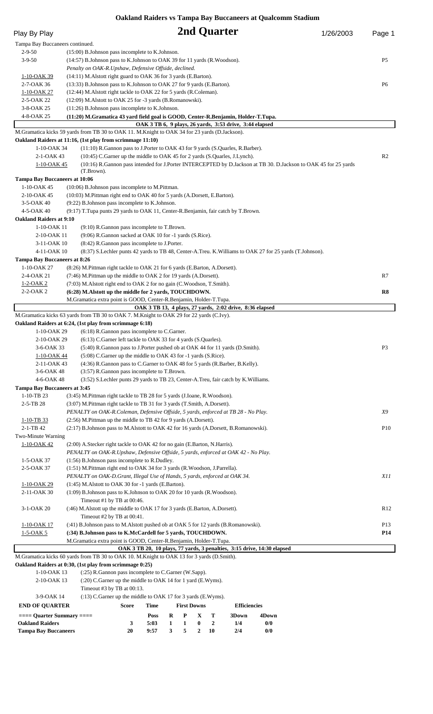**Oakland Raiders vs Tampa Bay Buccaneers at Qualcomm Stadium**

|                                                     |                                                         | Oakiand Raiders vs Tampa Bay Buccaneers at Qualcomm Stadium                                                                                                     |   |                    |             |              |                                                          |       |                                                                                                                 |                 |
|-----------------------------------------------------|---------------------------------------------------------|-----------------------------------------------------------------------------------------------------------------------------------------------------------------|---|--------------------|-------------|--------------|----------------------------------------------------------|-------|-----------------------------------------------------------------------------------------------------------------|-----------------|
| Play By Play                                        |                                                         |                                                                                                                                                                 |   |                    |             | 2nd Quarter  |                                                          |       | 1/26/2003                                                                                                       | Page 1          |
| Tampa Bay Buccaneers continued.                     |                                                         |                                                                                                                                                                 |   |                    |             |              |                                                          |       |                                                                                                                 |                 |
| $2 - 9 - 50$                                        |                                                         | (15:00) B.Johnson pass incomplete to K.Johnson.                                                                                                                 |   |                    |             |              |                                                          |       |                                                                                                                 |                 |
| $3 - 9 - 50$                                        |                                                         | (14:57) B.Johnson pass to K.Johnson to OAK 39 for 11 yards (R.Woodson).                                                                                         |   |                    |             |              |                                                          |       |                                                                                                                 | P <sub>5</sub>  |
| 1-10-OAK 39                                         |                                                         | Penalty on OAK-R.Upshaw, Defensive Offside, declined.<br>(14:11) M. Alstott right guard to OAK 36 for 3 yards (E. Barton).                                      |   |                    |             |              |                                                          |       |                                                                                                                 |                 |
| 2-7-OAK 36                                          |                                                         | (13:33) B.Johnson pass to K.Johnson to OAK 27 for 9 yards (E.Barton).                                                                                           |   |                    |             |              |                                                          |       |                                                                                                                 | P <sub>6</sub>  |
| <u>1-10-OAK 27</u>                                  |                                                         | (12:44) M. Alstott right tackle to OAK 22 for 5 yards (R. Coleman).                                                                                             |   |                    |             |              |                                                          |       |                                                                                                                 |                 |
| 2-5-OAK 22                                          |                                                         | (12:09) M.Alstott to OAK 25 for -3 yards (B.Romanowski).                                                                                                        |   |                    |             |              |                                                          |       |                                                                                                                 |                 |
| 3-8-OAK 25                                          |                                                         | (11:26) B.Johnson pass incomplete to K.Johnson.                                                                                                                 |   |                    |             |              |                                                          |       |                                                                                                                 |                 |
| 4-8-OAK 25                                          |                                                         | (11:20) M.Gramatica 43 yard field goal is GOOD, Center-R.Benjamin, Holder-T.Tupa.                                                                               |   |                    |             |              |                                                          |       |                                                                                                                 |                 |
|                                                     |                                                         | M.Gramatica kicks 59 yards from TB 30 to OAK 11. M.Knight to OAK 34 for 23 yards (D.Jackson).                                                                   |   |                    |             |              | OAK 3 TB 6, 9 plays, 26 yards, 3:53 drive, 3:44 elapsed  |       |                                                                                                                 |                 |
|                                                     |                                                         | Oakland Raiders at 11:16, (1st play from scrimmage 11:10)                                                                                                       |   |                    |             |              |                                                          |       |                                                                                                                 |                 |
| 1-10-OAK 34                                         |                                                         | (11:10) R.Gannon pass to J.Porter to OAK 43 for 9 yards (S.Quarles, R.Barber).                                                                                  |   |                    |             |              |                                                          |       |                                                                                                                 |                 |
| 2-1-OAK 43                                          |                                                         | (10:45) C.Garner up the middle to OAK 45 for 2 yards (S.Quarles, J.Lynch).                                                                                      |   |                    |             |              |                                                          |       |                                                                                                                 | R <sub>2</sub>  |
| <u>1-10-OAK 45</u>                                  | (T.Brown).                                              |                                                                                                                                                                 |   |                    |             |              |                                                          |       | (10:16) R.Gannon pass intended for J.Porter INTERCEPTED by D.Jackson at TB 30. D.Jackson to OAK 45 for 25 yards |                 |
| <b>Tampa Bay Buccaneers at 10:06</b>                |                                                         |                                                                                                                                                                 |   |                    |             |              |                                                          |       |                                                                                                                 |                 |
| 1-10-OAK 45                                         |                                                         | (10:06) B.Johnson pass incomplete to M.Pittman.                                                                                                                 |   |                    |             |              |                                                          |       |                                                                                                                 |                 |
| 2-10-OAK 45                                         |                                                         | (10:03) M.Pittman right end to OAK 40 for 5 yards (A.Dorsett, E.Barton).                                                                                        |   |                    |             |              |                                                          |       |                                                                                                                 |                 |
| 3-5-OAK 40                                          |                                                         | (9:22) B.Johnson pass incomplete to K.Johnson.                                                                                                                  |   |                    |             |              |                                                          |       |                                                                                                                 |                 |
| 4-5-OAK 40                                          |                                                         | (9:17) T.Tupa punts 29 yards to OAK 11, Center-R.Benjamin, fair catch by T.Brown.                                                                               |   |                    |             |              |                                                          |       |                                                                                                                 |                 |
| <b>Oakland Raiders at 9:10</b><br>1-10-OAK 11       |                                                         | (9:10) R.Gannon pass incomplete to T.Brown.                                                                                                                     |   |                    |             |              |                                                          |       |                                                                                                                 |                 |
| 2-10-OAK 11                                         |                                                         | (9:06) R.Gannon sacked at OAK 10 for -1 yards (S.Rice).                                                                                                         |   |                    |             |              |                                                          |       |                                                                                                                 |                 |
| 3-11-OAK 10                                         |                                                         | (8:42) R.Gannon pass incomplete to J.Porter.                                                                                                                    |   |                    |             |              |                                                          |       |                                                                                                                 |                 |
| 4-11-OAK 10                                         |                                                         | (8:37) S.Lechler punts 42 yards to TB 48, Center-A.Treu. K.Williams to OAK 27 for 25 yards (T.Johnson).                                                         |   |                    |             |              |                                                          |       |                                                                                                                 |                 |
| <b>Tampa Bay Buccaneers at 8:26</b>                 |                                                         |                                                                                                                                                                 |   |                    |             |              |                                                          |       |                                                                                                                 |                 |
| 1-10-OAK 27                                         |                                                         | (8:26) M.Pittman right tackle to OAK 21 for 6 yards (E.Barton, A.Dorsett).                                                                                      |   |                    |             |              |                                                          |       |                                                                                                                 |                 |
| 2-4-OAK 21                                          |                                                         | (7:46) M.Pittman up the middle to OAK 2 for 19 yards (A.Dorsett).                                                                                               |   |                    |             |              |                                                          |       |                                                                                                                 | R7              |
| $1-2-OAK2$<br>2-2-OAK 2                             |                                                         | (7:03) M. Alstott right end to OAK 2 for no gain (C. Woodson, T. Smith).<br>(6:28) M.Alstott up the middle for 2 yards, TOUCHDOWN.                              |   |                    |             |              |                                                          |       |                                                                                                                 | R8              |
|                                                     |                                                         | M.Gramatica extra point is GOOD, Center-R.Benjamin, Holder-T.Tupa.                                                                                              |   |                    |             |              |                                                          |       |                                                                                                                 |                 |
|                                                     |                                                         |                                                                                                                                                                 |   |                    |             |              | OAK 3 TB 13, 4 plays, 27 yards, 2:02 drive, 8:36 elapsed |       |                                                                                                                 |                 |
|                                                     |                                                         | M.Gramatica kicks 63 yards from TB 30 to OAK 7. M.Knight to OAK 29 for 22 yards (C.Ivy).                                                                        |   |                    |             |              |                                                          |       |                                                                                                                 |                 |
|                                                     | Oakland Raiders at 6:24, (1st play from scrimmage 6:18) |                                                                                                                                                                 |   |                    |             |              |                                                          |       |                                                                                                                 |                 |
| 1-10-OAK 29<br>2-10-OAK 29                          |                                                         | (6:18) R.Gannon pass incomplete to C.Garner.<br>(6:13) C.Garner left tackle to OAK 33 for 4 yards (S.Quarles).                                                  |   |                    |             |              |                                                          |       |                                                                                                                 |                 |
| 3-6-OAK 33                                          |                                                         | (5:40) R.Gannon pass to J.Porter pushed ob at OAK 44 for 11 yards (D.Smith).                                                                                    |   |                    |             |              |                                                          |       |                                                                                                                 | P <sub>3</sub>  |
| 1-10-OAK 44                                         |                                                         | (5:08) C.Garner up the middle to OAK 43 for -1 yards (S.Rice).                                                                                                  |   |                    |             |              |                                                          |       |                                                                                                                 |                 |
| 2-11-OAK 43                                         |                                                         | (4:36) R.Gannon pass to C.Garner to OAK 48 for 5 yards (R.Barber, B.Kelly).                                                                                     |   |                    |             |              |                                                          |       |                                                                                                                 |                 |
| 3-6-OAK 48                                          |                                                         | (3:57) R.Gannon pass incomplete to T.Brown.                                                                                                                     |   |                    |             |              |                                                          |       |                                                                                                                 |                 |
| 4-6-OAK 48                                          |                                                         | (3:52) S.Lechler punts 29 yards to TB 23, Center-A.Treu, fair catch by K.Williams.                                                                              |   |                    |             |              |                                                          |       |                                                                                                                 |                 |
| <b>Tampa Bay Buccaneers at 3:45</b><br>$1-10-TB$ 23 |                                                         | (3:45) M.Pittman right tackle to TB 28 for 5 yards (J.Ioane, R.Woodson).                                                                                        |   |                    |             |              |                                                          |       |                                                                                                                 |                 |
| 2-5-TB 28                                           |                                                         | (3:07) M.Pittman right tackle to TB 31 for 3 yards (T.Smith, A.Dorsett).                                                                                        |   |                    |             |              |                                                          |       |                                                                                                                 |                 |
|                                                     |                                                         | PENALTY on OAK-R. Coleman, Defensive Offside, 5 yards, enforced at TB 28 - No Play.                                                                             |   |                    |             |              |                                                          |       |                                                                                                                 | X9              |
| $1-10-TB$ 33                                        |                                                         | (2:56) M.Pittman up the middle to TB 42 for 9 yards (A.Dorsett).                                                                                                |   |                    |             |              |                                                          |       |                                                                                                                 |                 |
| $2 - 1 - TB 42$                                     |                                                         | (2:17) B.Johnson pass to M.Alstott to OAK 42 for 16 yards (A.Dorsett, B.Romanowski).                                                                            |   |                    |             |              |                                                          |       |                                                                                                                 | P <sub>10</sub> |
| Two-Minute Warning                                  |                                                         |                                                                                                                                                                 |   |                    |             |              |                                                          |       |                                                                                                                 |                 |
| <u>1-10-OAK 42</u>                                  |                                                         | (2:00) A Stecker right tackle to OAK 42 for no gain (E Barton, N Harris).<br>PENALTY on OAK-R.Upshaw, Defensive Offside, 5 yards, enforced at OAK 42 - No Play. |   |                    |             |              |                                                          |       |                                                                                                                 |                 |
| 1-5-OAK 37                                          |                                                         | (1:56) B.Johnson pass incomplete to R.Dudley.                                                                                                                   |   |                    |             |              |                                                          |       |                                                                                                                 |                 |
| 2-5-OAK 37                                          |                                                         | (1:51) M.Pittman right end to OAK 34 for 3 yards (R.Woodson, J.Parrella).                                                                                       |   |                    |             |              |                                                          |       |                                                                                                                 |                 |
|                                                     |                                                         | PENALTY on OAK-D.Grant, Illegal Use of Hands, 5 yards, enforced at OAK 34.                                                                                      |   |                    |             |              |                                                          |       |                                                                                                                 | X11             |
| 1-10-OAK 29                                         |                                                         | (1:45) M. Alstott to OAK 30 for -1 yards (E. Barton).                                                                                                           |   |                    |             |              |                                                          |       |                                                                                                                 |                 |
| 2-11-OAK 30                                         |                                                         | (1:09) B.Johnson pass to K.Johnson to OAK 20 for 10 yards (R.Woodson).                                                                                          |   |                    |             |              |                                                          |       |                                                                                                                 |                 |
| 3-1-OAK 20                                          |                                                         | Timeout #1 by TB at 00:46.<br>(:46) M.Alstott up the middle to OAK 17 for 3 yards (E.Barton, A.Dorsett).                                                        |   |                    |             |              |                                                          |       |                                                                                                                 | R <sub>12</sub> |
|                                                     |                                                         | Timeout #2 by TB at 00:41.                                                                                                                                      |   |                    |             |              |                                                          |       |                                                                                                                 |                 |
| <u>1-10-OAK 17</u>                                  |                                                         | (:41) B.Johnson pass to M.Alstott pushed ob at OAK 5 for 12 yards (B.Romanowski).                                                                               |   |                    |             |              |                                                          |       |                                                                                                                 | P <sub>13</sub> |
| <u>1-5-OAK 5</u>                                    |                                                         | (:34) B.Johnson pass to K.McCardell for 5 yards, TOUCHDOWN.                                                                                                     |   |                    |             |              |                                                          |       |                                                                                                                 | <b>P14</b>      |
|                                                     |                                                         | M.Gramatica extra point is GOOD, Center-R.Benjamin, Holder-T.Tupa.                                                                                              |   |                    |             |              |                                                          |       |                                                                                                                 |                 |
|                                                     |                                                         | OAK 3 TB 20, 10 plays, 77 yards, 3 penalties, 3:15 drive, 14:30 elapsed                                                                                         |   |                    |             |              |                                                          |       |                                                                                                                 |                 |
|                                                     | Oakland Raiders at 0:30, (1st play from scrimmage 0:25) | M.Gramatica kicks 60 yards from TB 30 to OAK 10. M.Knight to OAK 13 for 3 yards (D.Smith).                                                                      |   |                    |             |              |                                                          |       |                                                                                                                 |                 |
| 1-10-OAK 13                                         |                                                         | (:25) R.Gannon pass incomplete to C.Garner (W.Sapp).                                                                                                            |   |                    |             |              |                                                          |       |                                                                                                                 |                 |
| 2-10-OAK 13                                         |                                                         | (:20) C.Garner up the middle to OAK 14 for 1 yard (E.Wyms).                                                                                                     |   |                    |             |              |                                                          |       |                                                                                                                 |                 |
|                                                     |                                                         | Timeout #3 by TB at 00:13.                                                                                                                                      |   |                    |             |              |                                                          |       |                                                                                                                 |                 |
| 3-9-OAK 14                                          |                                                         | (:13) C.Garner up the middle to OAK 17 for 3 yards (E.Wyms).                                                                                                    |   |                    |             |              |                                                          |       |                                                                                                                 |                 |
| <b>END OF QUARTER</b>                               |                                                         | Score<br>Time                                                                                                                                                   |   | <b>First Downs</b> |             |              | <b>Efficiencies</b>                                      |       |                                                                                                                 |                 |
| $==$ Quarter Summary $==$                           |                                                         | <b>Poss</b>                                                                                                                                                     | R | P                  | $\mathbf X$ | т            | 3Down                                                    | 4Down |                                                                                                                 |                 |
| <b>Oakland Raiders</b>                              |                                                         | 3<br>5:03                                                                                                                                                       | 1 | $\mathbf{1}$<br>5  | $\bf{0}$    | $\mathbf{2}$ | 1/4                                                      | 0/0   |                                                                                                                 |                 |
| <b>Tampa Bay Buccaneers</b>                         |                                                         | 20<br>9:57                                                                                                                                                      | 3 |                    | 2           | 10           | 2/4                                                      | 0/0   |                                                                                                                 |                 |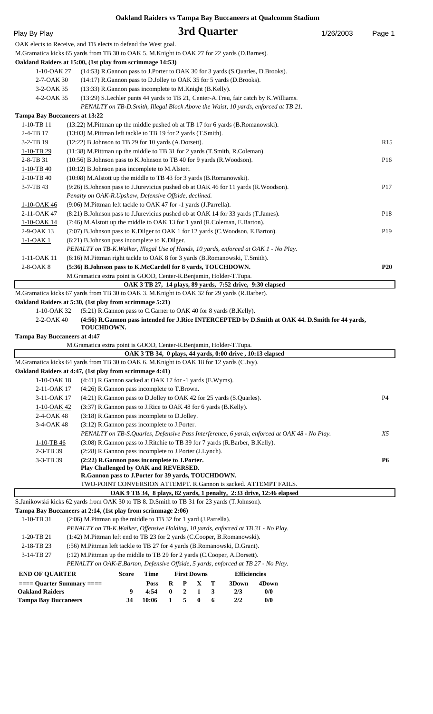| 3rd Quarter<br>Play By Play<br>1/26/2003<br>OAK elects to Receive, and TB elects to defend the West goal.<br>M.Gramatica kicks 65 yards from TB 30 to OAK 5. M.Knight to OAK 27 for 22 yards (D.Barnes).<br>Oakland Raiders at 15:00, (1st play from scrimmage 14:53)<br>(14:53) R.Gannon pass to J.Porter to OAK 30 for 3 yards (S.Quarles, D.Brooks).<br>1-10-OAK 27<br>2-7-OAK 30<br>(14:17) R.Gannon pass to D.Jolley to OAK 35 for 5 yards (D.Brooks).<br>3-2-OAK 35<br>(13:33) R.Gannon pass incomplete to M.Knight (B.Kelly).<br>4-2-OAK 35<br>(13:29) S.Lechler punts 44 yards to TB 21, Center-A.Treu, fair catch by K.Williams.<br>PENALTY on TB-D.Smith, Illegal Block Above the Waist, 10 yards, enforced at TB 21.<br><b>Tampa Bay Buccaneers at 13:22</b><br>1-10-TB 11<br>(13:22) M.Pittman up the middle pushed ob at TB 17 for 6 yards (B.Romanowski).<br>(13:03) M.Pittman left tackle to TB 19 for 2 yards (T.Smith).<br>2-4-TB 17<br>3-2-TB 19<br>(12:22) B.Johnson to TB 29 for 10 yards (A.Dorsett).<br>(11:38) M.Pittman up the middle to TB 31 for 2 yards (T.Smith, R.Coleman).<br>1-10-TB 29<br>(10:56) B.Johnson pass to K.Johnson to TB 40 for 9 yards (R.Woodson).<br>2-8-TB 31<br>(10:12) B.Johnson pass incomplete to M.Alstott.<br>$1-10-TB$ 40<br>2-10-TB 40<br>(10:08) M. Alstott up the middle to TB 43 for 3 yards (B. Romanowski).<br>3-7-TB 43<br>(9:26) B.Johnson pass to J.Jurevicius pushed ob at OAK 46 for 11 yards (R.Woodson).<br>Penalty on OAK-R.Upshaw, Defensive Offside, declined.<br>(9:06) M.Pittman left tackle to OAK 47 for -1 yards (J.Parrella).<br>1-10-OAK 46 | Page 1<br>R15<br>P16 |
|--------------------------------------------------------------------------------------------------------------------------------------------------------------------------------------------------------------------------------------------------------------------------------------------------------------------------------------------------------------------------------------------------------------------------------------------------------------------------------------------------------------------------------------------------------------------------------------------------------------------------------------------------------------------------------------------------------------------------------------------------------------------------------------------------------------------------------------------------------------------------------------------------------------------------------------------------------------------------------------------------------------------------------------------------------------------------------------------------------------------------------------------------------------------------------------------------------------------------------------------------------------------------------------------------------------------------------------------------------------------------------------------------------------------------------------------------------------------------------------------------------------------------------------------------------------------------------------------------------------------------|----------------------|
|                                                                                                                                                                                                                                                                                                                                                                                                                                                                                                                                                                                                                                                                                                                                                                                                                                                                                                                                                                                                                                                                                                                                                                                                                                                                                                                                                                                                                                                                                                                                                                                                                          |                      |
|                                                                                                                                                                                                                                                                                                                                                                                                                                                                                                                                                                                                                                                                                                                                                                                                                                                                                                                                                                                                                                                                                                                                                                                                                                                                                                                                                                                                                                                                                                                                                                                                                          |                      |
|                                                                                                                                                                                                                                                                                                                                                                                                                                                                                                                                                                                                                                                                                                                                                                                                                                                                                                                                                                                                                                                                                                                                                                                                                                                                                                                                                                                                                                                                                                                                                                                                                          |                      |
|                                                                                                                                                                                                                                                                                                                                                                                                                                                                                                                                                                                                                                                                                                                                                                                                                                                                                                                                                                                                                                                                                                                                                                                                                                                                                                                                                                                                                                                                                                                                                                                                                          |                      |
|                                                                                                                                                                                                                                                                                                                                                                                                                                                                                                                                                                                                                                                                                                                                                                                                                                                                                                                                                                                                                                                                                                                                                                                                                                                                                                                                                                                                                                                                                                                                                                                                                          |                      |
|                                                                                                                                                                                                                                                                                                                                                                                                                                                                                                                                                                                                                                                                                                                                                                                                                                                                                                                                                                                                                                                                                                                                                                                                                                                                                                                                                                                                                                                                                                                                                                                                                          |                      |
|                                                                                                                                                                                                                                                                                                                                                                                                                                                                                                                                                                                                                                                                                                                                                                                                                                                                                                                                                                                                                                                                                                                                                                                                                                                                                                                                                                                                                                                                                                                                                                                                                          |                      |
|                                                                                                                                                                                                                                                                                                                                                                                                                                                                                                                                                                                                                                                                                                                                                                                                                                                                                                                                                                                                                                                                                                                                                                                                                                                                                                                                                                                                                                                                                                                                                                                                                          |                      |
|                                                                                                                                                                                                                                                                                                                                                                                                                                                                                                                                                                                                                                                                                                                                                                                                                                                                                                                                                                                                                                                                                                                                                                                                                                                                                                                                                                                                                                                                                                                                                                                                                          |                      |
|                                                                                                                                                                                                                                                                                                                                                                                                                                                                                                                                                                                                                                                                                                                                                                                                                                                                                                                                                                                                                                                                                                                                                                                                                                                                                                                                                                                                                                                                                                                                                                                                                          |                      |
|                                                                                                                                                                                                                                                                                                                                                                                                                                                                                                                                                                                                                                                                                                                                                                                                                                                                                                                                                                                                                                                                                                                                                                                                                                                                                                                                                                                                                                                                                                                                                                                                                          |                      |
|                                                                                                                                                                                                                                                                                                                                                                                                                                                                                                                                                                                                                                                                                                                                                                                                                                                                                                                                                                                                                                                                                                                                                                                                                                                                                                                                                                                                                                                                                                                                                                                                                          |                      |
|                                                                                                                                                                                                                                                                                                                                                                                                                                                                                                                                                                                                                                                                                                                                                                                                                                                                                                                                                                                                                                                                                                                                                                                                                                                                                                                                                                                                                                                                                                                                                                                                                          |                      |
|                                                                                                                                                                                                                                                                                                                                                                                                                                                                                                                                                                                                                                                                                                                                                                                                                                                                                                                                                                                                                                                                                                                                                                                                                                                                                                                                                                                                                                                                                                                                                                                                                          |                      |
|                                                                                                                                                                                                                                                                                                                                                                                                                                                                                                                                                                                                                                                                                                                                                                                                                                                                                                                                                                                                                                                                                                                                                                                                                                                                                                                                                                                                                                                                                                                                                                                                                          |                      |
|                                                                                                                                                                                                                                                                                                                                                                                                                                                                                                                                                                                                                                                                                                                                                                                                                                                                                                                                                                                                                                                                                                                                                                                                                                                                                                                                                                                                                                                                                                                                                                                                                          |                      |
|                                                                                                                                                                                                                                                                                                                                                                                                                                                                                                                                                                                                                                                                                                                                                                                                                                                                                                                                                                                                                                                                                                                                                                                                                                                                                                                                                                                                                                                                                                                                                                                                                          | <b>P17</b>           |
|                                                                                                                                                                                                                                                                                                                                                                                                                                                                                                                                                                                                                                                                                                                                                                                                                                                                                                                                                                                                                                                                                                                                                                                                                                                                                                                                                                                                                                                                                                                                                                                                                          |                      |
| 2-11-OAK 47<br>(8:21) B.Johnson pass to J.Jurevicius pushed ob at OAK 14 for 33 yards (T.James).                                                                                                                                                                                                                                                                                                                                                                                                                                                                                                                                                                                                                                                                                                                                                                                                                                                                                                                                                                                                                                                                                                                                                                                                                                                                                                                                                                                                                                                                                                                         | P <sub>18</sub>      |
| (7:46) M.Alstott up the middle to OAK 13 for 1 yard (R.Coleman, E.Barton).<br>1-10-OAK 14                                                                                                                                                                                                                                                                                                                                                                                                                                                                                                                                                                                                                                                                                                                                                                                                                                                                                                                                                                                                                                                                                                                                                                                                                                                                                                                                                                                                                                                                                                                                |                      |
| 2-9-OAK 13<br>(7:07) B.Johnson pass to K.Dilger to OAK 1 for 12 yards (C.Woodson, E.Barton).                                                                                                                                                                                                                                                                                                                                                                                                                                                                                                                                                                                                                                                                                                                                                                                                                                                                                                                                                                                                                                                                                                                                                                                                                                                                                                                                                                                                                                                                                                                             | P <sub>19</sub>      |
| (6:21) B.Johnson pass incomplete to K.Dilger.<br>$1-1-OAK$ 1                                                                                                                                                                                                                                                                                                                                                                                                                                                                                                                                                                                                                                                                                                                                                                                                                                                                                                                                                                                                                                                                                                                                                                                                                                                                                                                                                                                                                                                                                                                                                             |                      |
| PENALTY on TB-K. Walker, Illegal Use of Hands, 10 yards, enforced at OAK 1 - No Play.                                                                                                                                                                                                                                                                                                                                                                                                                                                                                                                                                                                                                                                                                                                                                                                                                                                                                                                                                                                                                                                                                                                                                                                                                                                                                                                                                                                                                                                                                                                                    |                      |
| (6:16) M.Pittman right tackle to OAK 8 for 3 yards (B.Romanowski, T.Smith).<br>1-11-OAK 11                                                                                                                                                                                                                                                                                                                                                                                                                                                                                                                                                                                                                                                                                                                                                                                                                                                                                                                                                                                                                                                                                                                                                                                                                                                                                                                                                                                                                                                                                                                               |                      |
| 2-8-OAK 8<br>(5:36) B.Johnson pass to K.McCardell for 8 yards, TOUCHDOWN.                                                                                                                                                                                                                                                                                                                                                                                                                                                                                                                                                                                                                                                                                                                                                                                                                                                                                                                                                                                                                                                                                                                                                                                                                                                                                                                                                                                                                                                                                                                                                | <b>P20</b>           |
| M.Gramatica extra point is GOOD, Center-R.Benjamin, Holder-T.Tupa.                                                                                                                                                                                                                                                                                                                                                                                                                                                                                                                                                                                                                                                                                                                                                                                                                                                                                                                                                                                                                                                                                                                                                                                                                                                                                                                                                                                                                                                                                                                                                       |                      |
| OAK 3 TB 27, 14 plays, 89 yards, 7:52 drive, 9:30 elapsed                                                                                                                                                                                                                                                                                                                                                                                                                                                                                                                                                                                                                                                                                                                                                                                                                                                                                                                                                                                                                                                                                                                                                                                                                                                                                                                                                                                                                                                                                                                                                                |                      |
| M.Gramatica kicks 67 yards from TB 30 to OAK 3. M.Knight to OAK 32 for 29 yards (R.Barber).                                                                                                                                                                                                                                                                                                                                                                                                                                                                                                                                                                                                                                                                                                                                                                                                                                                                                                                                                                                                                                                                                                                                                                                                                                                                                                                                                                                                                                                                                                                              |                      |
| Oakland Raiders at 5:30, (1st play from scrimmage 5:21)<br>(5:21) R.Gannon pass to C.Garner to OAK 40 for 8 yards (B.Kelly).<br>1-10-OAK 32                                                                                                                                                                                                                                                                                                                                                                                                                                                                                                                                                                                                                                                                                                                                                                                                                                                                                                                                                                                                                                                                                                                                                                                                                                                                                                                                                                                                                                                                              |                      |
| 2-2-OAK 40<br>(4:56) R.Gannon pass intended for J.Rice INTERCEPTED by D.Smith at OAK 44. D.Smith for 44 yards,                                                                                                                                                                                                                                                                                                                                                                                                                                                                                                                                                                                                                                                                                                                                                                                                                                                                                                                                                                                                                                                                                                                                                                                                                                                                                                                                                                                                                                                                                                           |                      |
| TOUCHDOWN.                                                                                                                                                                                                                                                                                                                                                                                                                                                                                                                                                                                                                                                                                                                                                                                                                                                                                                                                                                                                                                                                                                                                                                                                                                                                                                                                                                                                                                                                                                                                                                                                               |                      |
| <b>Tampa Bay Buccaneers at 4:47</b>                                                                                                                                                                                                                                                                                                                                                                                                                                                                                                                                                                                                                                                                                                                                                                                                                                                                                                                                                                                                                                                                                                                                                                                                                                                                                                                                                                                                                                                                                                                                                                                      |                      |
| M.Gramatica extra point is GOOD, Center-R.Benjamin, Holder-T.Tupa.                                                                                                                                                                                                                                                                                                                                                                                                                                                                                                                                                                                                                                                                                                                                                                                                                                                                                                                                                                                                                                                                                                                                                                                                                                                                                                                                                                                                                                                                                                                                                       |                      |
| OAK 3 TB 34, 0 plays, 44 yards, 0:00 drive, 10:13 elapsed                                                                                                                                                                                                                                                                                                                                                                                                                                                                                                                                                                                                                                                                                                                                                                                                                                                                                                                                                                                                                                                                                                                                                                                                                                                                                                                                                                                                                                                                                                                                                                |                      |
| M.Gramatica kicks 64 yards from TB 30 to OAK 6. M.Knight to OAK 18 for 12 yards (C.Ivy).<br>Oakland Raiders at 4:47, (1st play from scrimmage 4:41)                                                                                                                                                                                                                                                                                                                                                                                                                                                                                                                                                                                                                                                                                                                                                                                                                                                                                                                                                                                                                                                                                                                                                                                                                                                                                                                                                                                                                                                                      |                      |
| (4:41) R.Gannon sacked at OAK 17 for -1 yards (E.Wyms).<br>$1-10-OK18$                                                                                                                                                                                                                                                                                                                                                                                                                                                                                                                                                                                                                                                                                                                                                                                                                                                                                                                                                                                                                                                                                                                                                                                                                                                                                                                                                                                                                                                                                                                                                   |                      |
|                                                                                                                                                                                                                                                                                                                                                                                                                                                                                                                                                                                                                                                                                                                                                                                                                                                                                                                                                                                                                                                                                                                                                                                                                                                                                                                                                                                                                                                                                                                                                                                                                          |                      |
|                                                                                                                                                                                                                                                                                                                                                                                                                                                                                                                                                                                                                                                                                                                                                                                                                                                                                                                                                                                                                                                                                                                                                                                                                                                                                                                                                                                                                                                                                                                                                                                                                          |                      |
| (4:26) R.Gannon pass incomplete to T.Brown.<br>2-11-OAK 17                                                                                                                                                                                                                                                                                                                                                                                                                                                                                                                                                                                                                                                                                                                                                                                                                                                                                                                                                                                                                                                                                                                                                                                                                                                                                                                                                                                                                                                                                                                                                               | P <sub>4</sub>       |
| 3-11-OAK 17<br>(4:21) R.Gannon pass to D.Jolley to OAK 42 for 25 yards (S.Quarles).<br>(3:37) R. Gannon pass to J. Rice to OAK 48 for 6 yards (B. Kelly).<br>1-10-OAK 42                                                                                                                                                                                                                                                                                                                                                                                                                                                                                                                                                                                                                                                                                                                                                                                                                                                                                                                                                                                                                                                                                                                                                                                                                                                                                                                                                                                                                                                 |                      |
| 2-4-OAK 48<br>(3:18) R.Gannon pass incomplete to D.Jolley.                                                                                                                                                                                                                                                                                                                                                                                                                                                                                                                                                                                                                                                                                                                                                                                                                                                                                                                                                                                                                                                                                                                                                                                                                                                                                                                                                                                                                                                                                                                                                               |                      |
| 3-4-OAK 48<br>(3:12) R.Gannon pass incomplete to J.Porter.                                                                                                                                                                                                                                                                                                                                                                                                                                                                                                                                                                                                                                                                                                                                                                                                                                                                                                                                                                                                                                                                                                                                                                                                                                                                                                                                                                                                                                                                                                                                                               |                      |
| PENALTY on TB-S.Quarles, Defensive Pass Interference, 6 yards, enforced at OAK 48 - No Play.                                                                                                                                                                                                                                                                                                                                                                                                                                                                                                                                                                                                                                                                                                                                                                                                                                                                                                                                                                                                                                                                                                                                                                                                                                                                                                                                                                                                                                                                                                                             | X5                   |
| (3:08) R.Gannon pass to J.Ritchie to TB 39 for 7 yards (R.Barber, B.Kelly).<br>$1-10-TB$ 46                                                                                                                                                                                                                                                                                                                                                                                                                                                                                                                                                                                                                                                                                                                                                                                                                                                                                                                                                                                                                                                                                                                                                                                                                                                                                                                                                                                                                                                                                                                              |                      |
| 2-3-TB 39<br>(2:28) R.Gannon pass incomplete to J.Porter (J.Lynch).                                                                                                                                                                                                                                                                                                                                                                                                                                                                                                                                                                                                                                                                                                                                                                                                                                                                                                                                                                                                                                                                                                                                                                                                                                                                                                                                                                                                                                                                                                                                                      |                      |
| 3-3-TB 39<br>(2:22) R.Gannon pass incomplete to J.Porter.                                                                                                                                                                                                                                                                                                                                                                                                                                                                                                                                                                                                                                                                                                                                                                                                                                                                                                                                                                                                                                                                                                                                                                                                                                                                                                                                                                                                                                                                                                                                                                | <b>P6</b>            |
| Play Challenged by OAK and REVERSED.                                                                                                                                                                                                                                                                                                                                                                                                                                                                                                                                                                                                                                                                                                                                                                                                                                                                                                                                                                                                                                                                                                                                                                                                                                                                                                                                                                                                                                                                                                                                                                                     |                      |
| R.Gannon pass to J.Porter for 39 yards, TOUCHDOWN.<br>TWO-POINT CONVERSION ATTEMPT. R.Gannon is sacked. ATTEMPT FAILS.                                                                                                                                                                                                                                                                                                                                                                                                                                                                                                                                                                                                                                                                                                                                                                                                                                                                                                                                                                                                                                                                                                                                                                                                                                                                                                                                                                                                                                                                                                   |                      |
| OAK 9 TB 34, 8 plays, 82 yards, 1 penalty, 2:33 drive, 12:46 elapsed                                                                                                                                                                                                                                                                                                                                                                                                                                                                                                                                                                                                                                                                                                                                                                                                                                                                                                                                                                                                                                                                                                                                                                                                                                                                                                                                                                                                                                                                                                                                                     |                      |
| S.Janikowski kicks 62 yards from OAK 30 to TB 8. D.Smith to TB 31 for 23 yards (T.Johnson).                                                                                                                                                                                                                                                                                                                                                                                                                                                                                                                                                                                                                                                                                                                                                                                                                                                                                                                                                                                                                                                                                                                                                                                                                                                                                                                                                                                                                                                                                                                              |                      |
| Tampa Bay Buccaneers at 2:14, (1st play from scrimmage 2:06)                                                                                                                                                                                                                                                                                                                                                                                                                                                                                                                                                                                                                                                                                                                                                                                                                                                                                                                                                                                                                                                                                                                                                                                                                                                                                                                                                                                                                                                                                                                                                             |                      |
| 1-10-TB 31<br>(2:06) M.Pittman up the middle to TB 32 for 1 yard (J.Parrella).                                                                                                                                                                                                                                                                                                                                                                                                                                                                                                                                                                                                                                                                                                                                                                                                                                                                                                                                                                                                                                                                                                                                                                                                                                                                                                                                                                                                                                                                                                                                           |                      |
| PENALTY on TB-K. Walker, Offensive Holding, 10 yards, enforced at TB 31 - No Play.                                                                                                                                                                                                                                                                                                                                                                                                                                                                                                                                                                                                                                                                                                                                                                                                                                                                                                                                                                                                                                                                                                                                                                                                                                                                                                                                                                                                                                                                                                                                       |                      |
| 1-20-TB 21<br>(1:42) M.Pittman left end to TB 23 for 2 yards (C.Cooper, B.Romanowski).                                                                                                                                                                                                                                                                                                                                                                                                                                                                                                                                                                                                                                                                                                                                                                                                                                                                                                                                                                                                                                                                                                                                                                                                                                                                                                                                                                                                                                                                                                                                   |                      |
| 2-18-TB 23<br>(:56) M.Pittman left tackle to TB 27 for 4 yards (B.Romanowski, D.Grant).<br>3-14-TB 27                                                                                                                                                                                                                                                                                                                                                                                                                                                                                                                                                                                                                                                                                                                                                                                                                                                                                                                                                                                                                                                                                                                                                                                                                                                                                                                                                                                                                                                                                                                    |                      |
| (:12) M.Pittman up the middle to TB 29 for 2 yards (C.Cooper, A.Dorsett).<br>PENALTY on OAK-E.Barton, Defensive Offside, 5 yards, enforced at TB 27 - No Play.                                                                                                                                                                                                                                                                                                                                                                                                                                                                                                                                                                                                                                                                                                                                                                                                                                                                                                                                                                                                                                                                                                                                                                                                                                                                                                                                                                                                                                                           |                      |
| <b>First Downs</b><br><b>END OF QUARTER</b><br><b>Time</b><br><b>Efficiencies</b><br>Score                                                                                                                                                                                                                                                                                                                                                                                                                                                                                                                                                                                                                                                                                                                                                                                                                                                                                                                                                                                                                                                                                                                                                                                                                                                                                                                                                                                                                                                                                                                               |                      |
| $==$ Quarter Summary $==$<br>P<br>X<br><b>Poss</b><br>R<br>т<br>3Down<br>4Down                                                                                                                                                                                                                                                                                                                                                                                                                                                                                                                                                                                                                                                                                                                                                                                                                                                                                                                                                                                                                                                                                                                                                                                                                                                                                                                                                                                                                                                                                                                                           |                      |
| <b>Oakland Raiders</b><br>4:54<br>$\bf{0}$<br>$\mathbf{2}$<br>3<br>0/0<br>9<br>1<br>2/3<br>5<br>10:06<br>$\bf{0}$<br>2/2<br><b>Tampa Bay Buccaneers</b>                                                                                                                                                                                                                                                                                                                                                                                                                                                                                                                                                                                                                                                                                                                                                                                                                                                                                                                                                                                                                                                                                                                                                                                                                                                                                                                                                                                                                                                                  |                      |